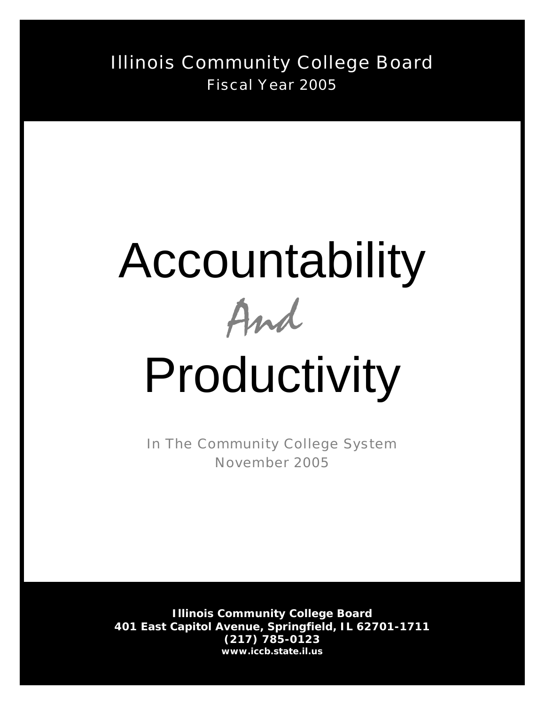Illinois Community College Board Fiscal Year 2005

## Accountability



# Productivity

In The Community College System November 2005

**Illinois Community College Board 401 East Capitol Avenue, Springfield, IL 62701-1711 (217) 785-0123** *www.iccb.state.il.us*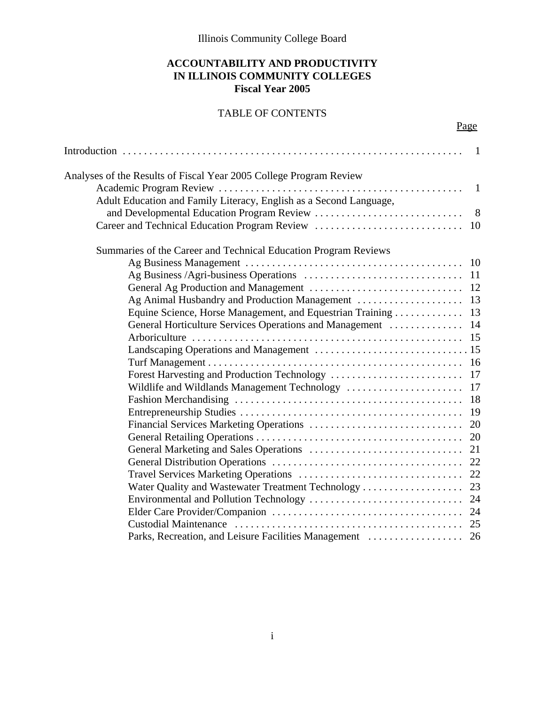Illinois Community College Board

#### **ACCOUNTABILITY AND PRODUCTIVITY IN ILLINOIS COMMUNITY COLLEGES Fiscal Year 2005**

#### TABLE OF CONTENTS

Page

| Analyses of the Results of Fiscal Year 2005 College Program Review |    |
|--------------------------------------------------------------------|----|
|                                                                    |    |
| Adult Education and Family Literacy, English as a Second Language, |    |
|                                                                    |    |
|                                                                    |    |
| Summaries of the Career and Technical Education Program Reviews    |    |
|                                                                    |    |
|                                                                    |    |
|                                                                    |    |
|                                                                    |    |
| Equine Science, Horse Management, and Equestrian Training 13       |    |
| General Horticulture Services Operations and Management  14        |    |
|                                                                    |    |
|                                                                    |    |
|                                                                    |    |
|                                                                    |    |
|                                                                    |    |
|                                                                    |    |
|                                                                    |    |
|                                                                    |    |
|                                                                    | 20 |
|                                                                    | 21 |
|                                                                    |    |
|                                                                    |    |
|                                                                    |    |
|                                                                    |    |
|                                                                    |    |
|                                                                    |    |
|                                                                    |    |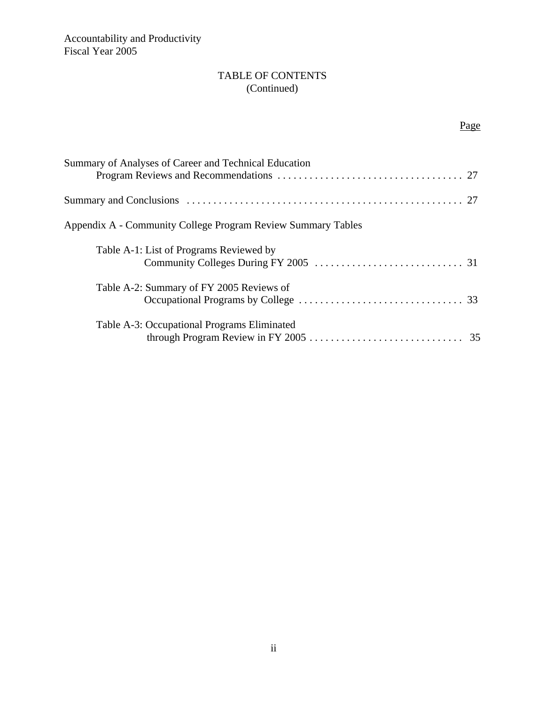Accountability and Productivity Fiscal Year 2005

### TABLE OF CONTENTS (Continued)

| Summary of Analyses of Career and Technical Education        |  |
|--------------------------------------------------------------|--|
|                                                              |  |
| Appendix A - Community College Program Review Summary Tables |  |
| Table A-1: List of Programs Reviewed by                      |  |
| Table A-2: Summary of FY 2005 Reviews of                     |  |
| Table A-3: Occupational Programs Eliminated                  |  |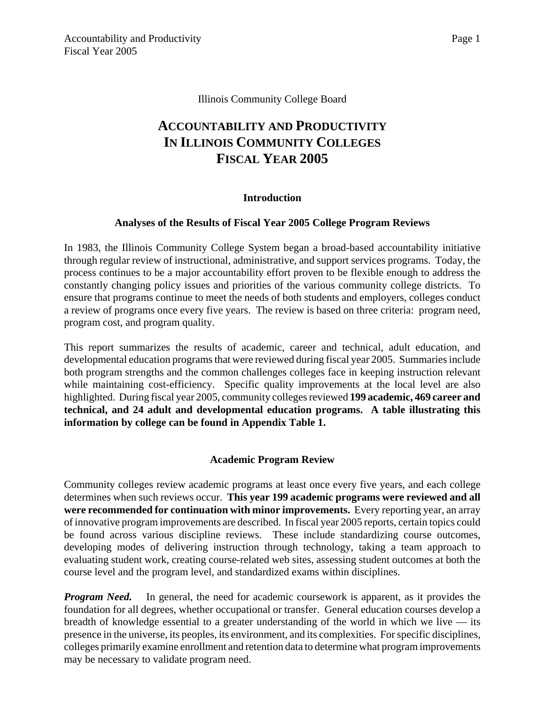#### Illinois Community College Board

## **ACCOUNTABILITY AND PRODUCTIVITY IN ILLINOIS COMMUNITY COLLEGES FISCAL YEAR 2005**

#### **Introduction**

#### **Analyses of the Results of Fiscal Year 2005 College Program Reviews**

In 1983, the Illinois Community College System began a broad-based accountability initiative through regular review of instructional, administrative, and support services programs. Today, the process continues to be a major accountability effort proven to be flexible enough to address the constantly changing policy issues and priorities of the various community college districts. To ensure that programs continue to meet the needs of both students and employers, colleges conduct a review of programs once every five years. The review is based on three criteria: program need, program cost, and program quality.

This report summarizes the results of academic, career and technical, adult education, and developmental education programs that were reviewed during fiscal year 2005. Summaries include both program strengths and the common challenges colleges face in keeping instruction relevant while maintaining cost-efficiency. Specific quality improvements at the local level are also highlighted. During fiscal year 2005, community colleges reviewed **199 academic, 469 career and technical, and 24 adult and developmental education programs. A table illustrating this information by college can be found in Appendix Table 1.**

#### **Academic Program Review**

Community colleges review academic programs at least once every five years, and each college determines when such reviews occur. **This year 199 academic programs were reviewed and all were recommended for continuation with minor improvements.** Every reporting year, an array of innovative program improvements are described. In fiscal year 2005 reports, certain topics could be found across various discipline reviews. These include standardizing course outcomes, developing modes of delivering instruction through technology, taking a team approach to evaluating student work, creating course-related web sites, assessing student outcomes at both the course level and the program level, and standardized exams within disciplines.

*Program Need.* In general, the need for academic coursework is apparent, as it provides the foundation for all degrees, whether occupational or transfer. General education courses develop a breadth of knowledge essential to a greater understanding of the world in which we live — its presence in the universe, its peoples, its environment, and its complexities. For specific disciplines, colleges primarily examine enrollment and retention data to determine what program improvements may be necessary to validate program need.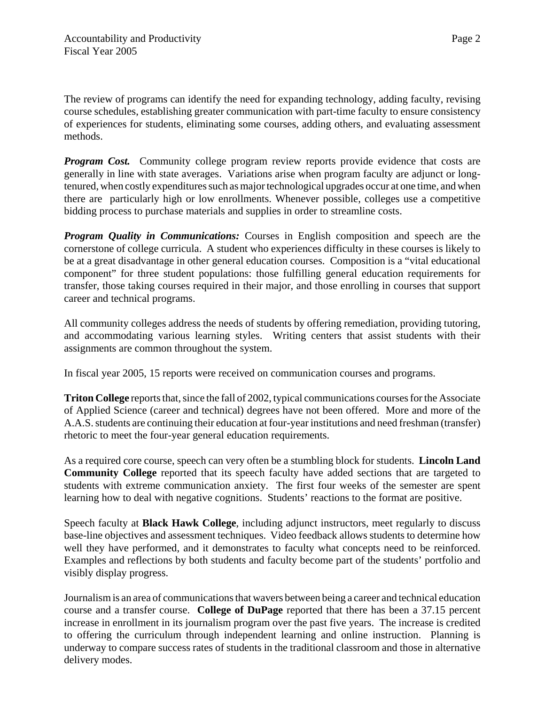The review of programs can identify the need for expanding technology, adding faculty, revising course schedules, establishing greater communication with part-time faculty to ensure consistency of experiences for students, eliminating some courses, adding others, and evaluating assessment methods.

*Program Cost.* Community college program review reports provide evidence that costs are generally in line with state averages. Variations arise when program faculty are adjunct or longtenured, when costly expenditures such as major technological upgrades occur at one time, and when there are particularly high or low enrollments. Whenever possible, colleges use a competitive bidding process to purchase materials and supplies in order to streamline costs.

*Program Quality in Communications:* Courses in English composition and speech are the cornerstone of college curricula. A student who experiences difficulty in these courses is likely to be at a great disadvantage in other general education courses. Composition is a "vital educational component" for three student populations: those fulfilling general education requirements for transfer, those taking courses required in their major, and those enrolling in courses that support career and technical programs.

All community colleges address the needs of students by offering remediation, providing tutoring, and accommodating various learning styles. Writing centers that assist students with their assignments are common throughout the system.

In fiscal year 2005, 15 reports were received on communication courses and programs.

**Triton College** reports that, since the fall of 2002, typical communications courses for the Associate of Applied Science (career and technical) degrees have not been offered. More and more of the A.A.S. students are continuing their education at four-year institutions and need freshman (transfer) rhetoric to meet the four-year general education requirements.

As a required core course, speech can very often be a stumbling block for students. **Lincoln Land Community College** reported that its speech faculty have added sections that are targeted to students with extreme communication anxiety. The first four weeks of the semester are spent learning how to deal with negative cognitions. Students' reactions to the format are positive.

Speech faculty at **Black Hawk College**, including adjunct instructors, meet regularly to discuss base-line objectives and assessment techniques. Video feedback allows students to determine how well they have performed, and it demonstrates to faculty what concepts need to be reinforced. Examples and reflections by both students and faculty become part of the students' portfolio and visibly display progress.

Journalism is an area of communications that wavers between being a career and technical education course and a transfer course. **College of DuPage** reported that there has been a 37.15 percent increase in enrollment in its journalism program over the past five years. The increase is credited to offering the curriculum through independent learning and online instruction. Planning is underway to compare success rates of students in the traditional classroom and those in alternative delivery modes.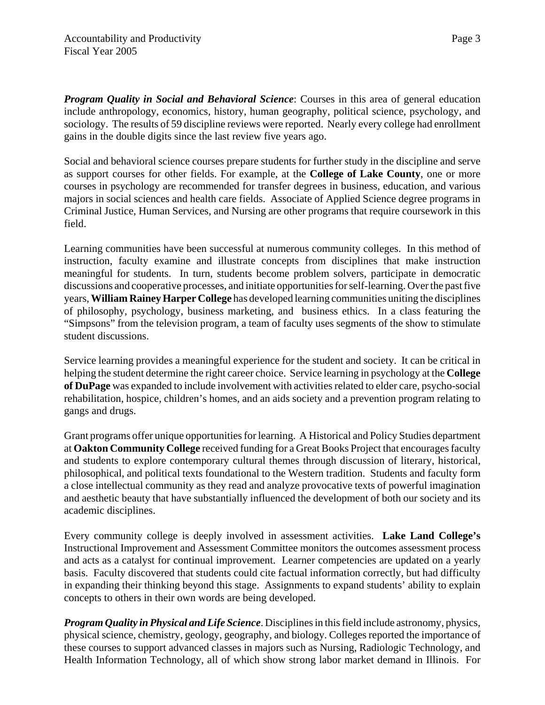*Program Quality in Social and Behavioral Science*: Courses in this area of general education include anthropology, economics, history, human geography, political science, psychology, and sociology. The results of 59 discipline reviews were reported. Nearly every college had enrollment gains in the double digits since the last review five years ago.

Social and behavioral science courses prepare students for further study in the discipline and serve as support courses for other fields. For example, at the **College of Lake County**, one or more courses in psychology are recommended for transfer degrees in business, education, and various majors in social sciences and health care fields. Associate of Applied Science degree programs in Criminal Justice, Human Services, and Nursing are other programs that require coursework in this field.

Learning communities have been successful at numerous community colleges. In this method of instruction, faculty examine and illustrate concepts from disciplines that make instruction meaningful for students. In turn, students become problem solvers, participate in democratic discussions and cooperative processes, and initiate opportunities for self-learning. Over the past five years, **William Rainey Harper College** has developed learning communities uniting the disciplines of philosophy, psychology, business marketing, and business ethics. In a class featuring the "Simpsons" from the television program, a team of faculty uses segments of the show to stimulate student discussions.

Service learning provides a meaningful experience for the student and society. It can be critical in helping the student determine the right career choice. Service learning in psychology at the **College of DuPage** was expanded to include involvement with activities related to elder care, psycho-social rehabilitation, hospice, children's homes, and an aids society and a prevention program relating to gangs and drugs.

Grant programs offer unique opportunities for learning. A Historical and Policy Studies department at **Oakton Community College** received funding for a Great Books Project that encourages faculty and students to explore contemporary cultural themes through discussion of literary, historical, philosophical, and political texts foundational to the Western tradition. Students and faculty form a close intellectual community as they read and analyze provocative texts of powerful imagination and aesthetic beauty that have substantially influenced the development of both our society and its academic disciplines.

Every community college is deeply involved in assessment activities. **Lake Land College's** Instructional Improvement and Assessment Committee monitors the outcomes assessment process and acts as a catalyst for continual improvement. Learner competencies are updated on a yearly basis. Faculty discovered that students could cite factual information correctly, but had difficulty in expanding their thinking beyond this stage. Assignments to expand students' ability to explain concepts to others in their own words are being developed.

*Program Quality in Physical and Life Science*. Disciplines in this field include astronomy, physics, physical science, chemistry, geology, geography, and biology. Colleges reported the importance of these courses to support advanced classes in majors such as Nursing, Radiologic Technology, and Health Information Technology, all of which show strong labor market demand in Illinois. For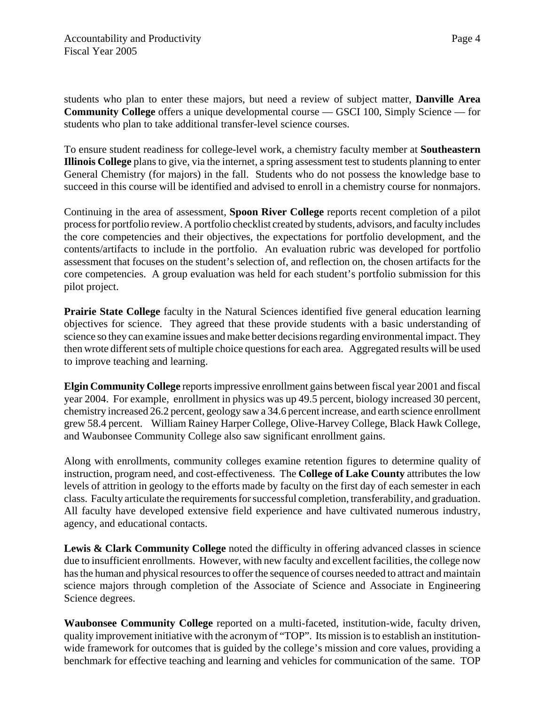students who plan to enter these majors, but need a review of subject matter, **Danville Area Community College** offers a unique developmental course — GSCI 100, Simply Science — for students who plan to take additional transfer-level science courses.

To ensure student readiness for college-level work, a chemistry faculty member at **Southeastern Illinois College** plans to give, via the internet, a spring assessment test to students planning to enter General Chemistry (for majors) in the fall. Students who do not possess the knowledge base to succeed in this course will be identified and advised to enroll in a chemistry course for nonmajors.

Continuing in the area of assessment, **Spoon River College** reports recent completion of a pilot process for portfolio review. A portfolio checklist created by students, advisors, and faculty includes the core competencies and their objectives, the expectations for portfolio development, and the contents/artifacts to include in the portfolio. An evaluation rubric was developed for portfolio assessment that focuses on the student's selection of, and reflection on, the chosen artifacts for the core competencies. A group evaluation was held for each student's portfolio submission for this pilot project.

**Prairie State College** faculty in the Natural Sciences identified five general education learning objectives for science. They agreed that these provide students with a basic understanding of science so they can examine issues and make better decisions regarding environmental impact. They then wrote different sets of multiple choice questions for each area. Aggregated results will be used to improve teaching and learning.

**Elgin Community College** reports impressive enrollment gains between fiscal year 2001 and fiscal year 2004. For example, enrollment in physics was up 49.5 percent, biology increased 30 percent, chemistry increased 26.2 percent, geology saw a 34.6 percent increase, and earth science enrollment grew 58.4 percent. William Rainey Harper College, Olive-Harvey College, Black Hawk College, and Waubonsee Community College also saw significant enrollment gains.

Along with enrollments, community colleges examine retention figures to determine quality of instruction, program need, and cost-effectiveness. The **College of Lake County** attributes the low levels of attrition in geology to the efforts made by faculty on the first day of each semester in each class. Faculty articulate the requirements for successful completion, transferability, and graduation. All faculty have developed extensive field experience and have cultivated numerous industry, agency, and educational contacts.

Lewis & Clark Community College noted the difficulty in offering advanced classes in science due to insufficient enrollments. However, with new faculty and excellent facilities, the college now has the human and physical resources to offer the sequence of courses needed to attract and maintain science majors through completion of the Associate of Science and Associate in Engineering Science degrees.

**Waubonsee Community College** reported on a multi-faceted, institution-wide, faculty driven, quality improvement initiative with the acronym of "TOP". Its mission is to establish an institutionwide framework for outcomes that is guided by the college's mission and core values, providing a benchmark for effective teaching and learning and vehicles for communication of the same. TOP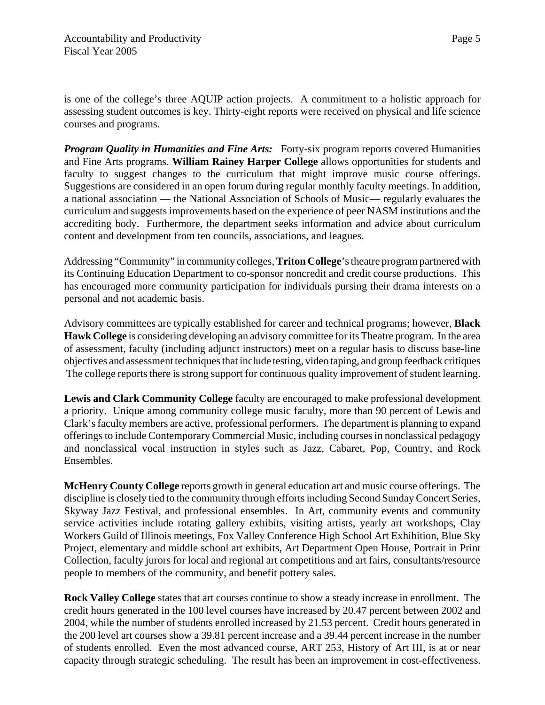is one of the college's three AQUIP action projects. A commitment to a holistic approach for assessing student outcomes is key. Thirty-eight reports were received on physical and life science courses and programs.

*Program Quality in Humanities and Fine Arts:* Forty-six program reports covered Humanities and Fine Arts programs. **William Rainey Harper College** allows opportunities for students and faculty to suggest changes to the curriculum that might improve music course offerings. Suggestions are considered in an open forum during regular monthly faculty meetings. In addition, a national association — the National Association of Schools of Music— regularly evaluates the curriculum and suggests improvements based on the experience of peer NASM institutions and the accrediting body. Furthermore, the department seeks information and advice about curriculum content and development from ten councils, associations, and leagues.

Addressing "Community" in community colleges, **Triton College**'s theatre program partnered with its Continuing Education Department to co-sponsor noncredit and credit course productions. This has encouraged more community participation for individuals pursing their drama interests on a personal and not academic basis.

Advisory committees are typically established for career and technical programs; however, **Black Hawk College** is considering developing an advisory committee for its Theatre program. In the area of assessment, faculty (including adjunct instructors) meet on a regular basis to discuss base-line objectives and assessment techniques that include testing, video taping, and group feedback critiques The college reports there is strong support for continuous quality improvement of student learning.

**Lewis and Clark Community College** faculty are encouraged to make professional development a priority. Unique among community college music faculty, more than 90 percent of Lewis and Clark's faculty members are active, professional performers. The department is planning to expand offerings to include Contemporary Commercial Music, including courses in nonclassical pedagogy and nonclassical vocal instruction in styles such as Jazz, Cabaret, Pop, Country, and Rock Ensembles.

**McHenry County College** reports growth in general education art and music course offerings. The discipline is closely tied to the community through efforts including Second Sunday Concert Series, Skyway Jazz Festival, and professional ensembles. In Art, community events and community service activities include rotating gallery exhibits, visiting artists, yearly art workshops, Clay Workers Guild of Illinois meetings, Fox Valley Conference High School Art Exhibition, Blue Sky Project, elementary and middle school art exhibits, Art Department Open House, Portrait in Print Collection, faculty jurors for local and regional art competitions and art fairs, consultants/resource people to members of the community, and benefit pottery sales.

**Rock Valley College** states that art courses continue to show a steady increase in enrollment. The credit hours generated in the 100 level courses have increased by 20.47 percent between 2002 and 2004, while the number of students enrolled increased by 21.53 percent. Credit hours generated in the 200 level art courses show a 39.81 percent increase and a 39.44 percent increase in the number of students enrolled. Even the most advanced course, ART 253, History of Art III, is at or near capacity through strategic scheduling. The result has been an improvement in cost-effectiveness.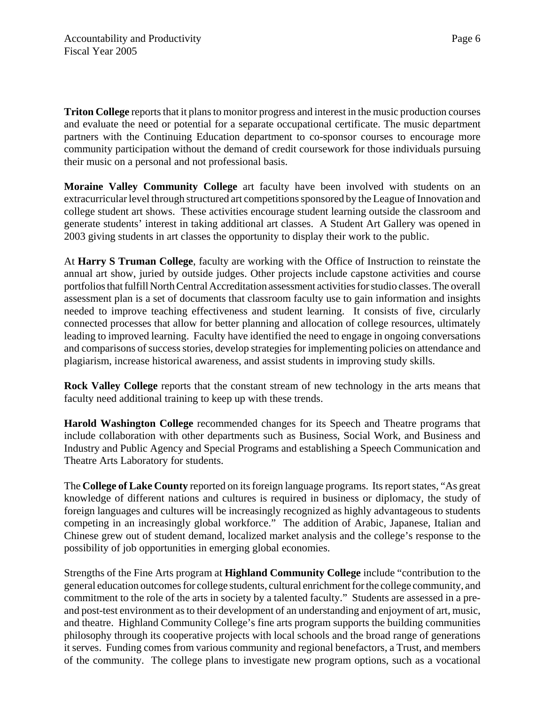**Triton College** reports that it plans to monitor progress and interest in the music production courses and evaluate the need or potential for a separate occupational certificate. The music department partners with the Continuing Education department to co-sponsor courses to encourage more community participation without the demand of credit coursework for those individuals pursuing their music on a personal and not professional basis.

**Moraine Valley Community College** art faculty have been involved with students on an extracurricular level through structured art competitions sponsored by the League of Innovation and college student art shows. These activities encourage student learning outside the classroom and generate students' interest in taking additional art classes. A Student Art Gallery was opened in 2003 giving students in art classes the opportunity to display their work to the public.

At **Harry S Truman College**, faculty are working with the Office of Instruction to reinstate the annual art show, juried by outside judges. Other projects include capstone activities and course portfolios that fulfill North Central Accreditation assessment activities for studio classes. The overall assessment plan is a set of documents that classroom faculty use to gain information and insights needed to improve teaching effectiveness and student learning. It consists of five, circularly connected processes that allow for better planning and allocation of college resources, ultimately leading to improved learning. Faculty have identified the need to engage in ongoing conversations and comparisons of success stories, develop strategies for implementing policies on attendance and plagiarism, increase historical awareness, and assist students in improving study skills.

**Rock Valley College** reports that the constant stream of new technology in the arts means that faculty need additional training to keep up with these trends.

**Harold Washington College** recommended changes for its Speech and Theatre programs that include collaboration with other departments such as Business, Social Work, and Business and Industry and Public Agency and Special Programs and establishing a Speech Communication and Theatre Arts Laboratory for students.

The **College of Lake County** reported on its foreign language programs. Its report states, "As great knowledge of different nations and cultures is required in business or diplomacy, the study of foreign languages and cultures will be increasingly recognized as highly advantageous to students competing in an increasingly global workforce." The addition of Arabic, Japanese, Italian and Chinese grew out of student demand, localized market analysis and the college's response to the possibility of job opportunities in emerging global economies.

Strengths of the Fine Arts program at **Highland Community College** include "contribution to the general education outcomes for college students, cultural enrichment for the college community, and commitment to the role of the arts in society by a talented faculty." Students are assessed in a preand post-test environment as to their development of an understanding and enjoyment of art, music, and theatre. Highland Community College's fine arts program supports the building communities philosophy through its cooperative projects with local schools and the broad range of generations it serves. Funding comes from various community and regional benefactors, a Trust, and members of the community. The college plans to investigate new program options, such as a vocational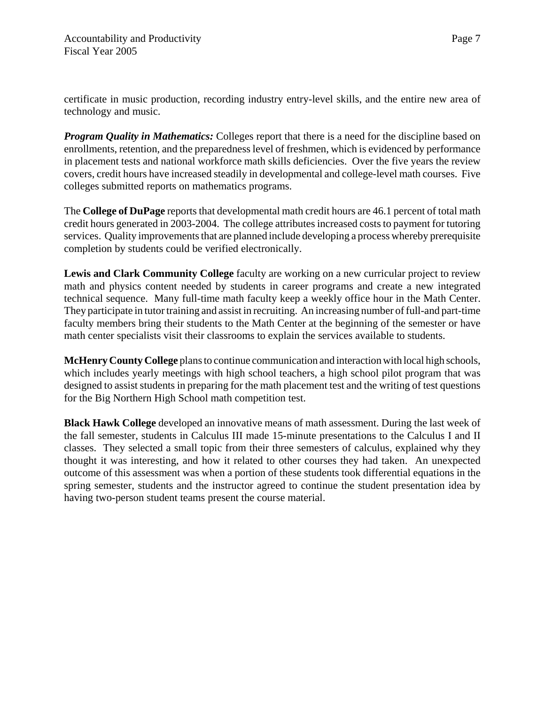certificate in music production, recording industry entry-level skills, and the entire new area of technology and music.

*Program Quality in Mathematics:* Colleges report that there is a need for the discipline based on enrollments, retention, and the preparedness level of freshmen, which is evidenced by performance in placement tests and national workforce math skills deficiencies. Over the five years the review covers, credit hours have increased steadily in developmental and college-level math courses. Five colleges submitted reports on mathematics programs.

The **College of DuPage** reports that developmental math credit hours are 46.1 percent of total math credit hours generated in 2003-2004. The college attributes increased costs to payment for tutoring services. Quality improvements that are planned include developing a process whereby prerequisite completion by students could be verified electronically.

Lewis and Clark Community College faculty are working on a new curricular project to review math and physics content needed by students in career programs and create a new integrated technical sequence. Many full-time math faculty keep a weekly office hour in the Math Center. They participate in tutor training and assist in recruiting. An increasing number of full-and part-time faculty members bring their students to the Math Center at the beginning of the semester or have math center specialists visit their classrooms to explain the services available to students.

**McHenry County College** plans to continue communication and interaction with local high schools, which includes yearly meetings with high school teachers, a high school pilot program that was designed to assist students in preparing for the math placement test and the writing of test questions for the Big Northern High School math competition test.

**Black Hawk College** developed an innovative means of math assessment. During the last week of the fall semester, students in Calculus III made 15-minute presentations to the Calculus I and II classes. They selected a small topic from their three semesters of calculus, explained why they thought it was interesting, and how it related to other courses they had taken. An unexpected outcome of this assessment was when a portion of these students took differential equations in the spring semester, students and the instructor agreed to continue the student presentation idea by having two-person student teams present the course material.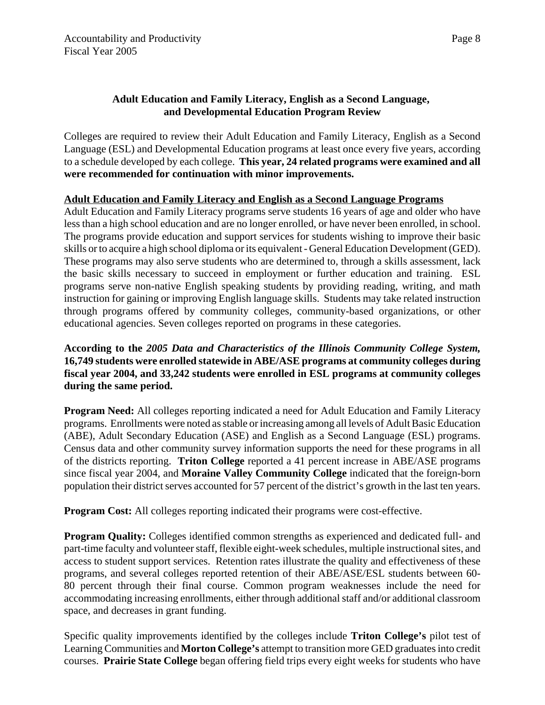#### **Adult Education and Family Literacy, English as a Second Language, and Developmental Education Program Review**

Colleges are required to review their Adult Education and Family Literacy, English as a Second Language (ESL) and Developmental Education programs at least once every five years, according to a schedule developed by each college. **This year, 24 related programs were examined and all were recommended for continuation with minor improvements.**

#### **Adult Education and Family Literacy and English as a Second Language Programs**

Adult Education and Family Literacy programs serve students 16 years of age and older who have less than a high school education and are no longer enrolled, or have never been enrolled, in school. The programs provide education and support services for students wishing to improve their basic skills or to acquire a high school diploma or its equivalent - General Education Development (GED). These programs may also serve students who are determined to, through a skills assessment, lack the basic skills necessary to succeed in employment or further education and training. ESL programs serve non-native English speaking students by providing reading, writing, and math instruction for gaining or improving English language skills. Students may take related instruction through programs offered by community colleges, community-based organizations, or other educational agencies. Seven colleges reported on programs in these categories.

#### **According to the** *2005 Data and Characteristics of the Illinois Community College System,* **16,749 students were enrolled statewide in ABE/ASE programs at community colleges during fiscal year 2004, and 33,242 students were enrolled in ESL programs at community colleges during the same period.**

**Program Need:** All colleges reporting indicated a need for Adult Education and Family Literacy programs. Enrollments were noted as stable or increasing among all levels of Adult Basic Education (ABE), Adult Secondary Education (ASE) and English as a Second Language (ESL) programs. Census data and other community survey information supports the need for these programs in all of the districts reporting. **Triton College** reported a 41 percent increase in ABE/ASE programs since fiscal year 2004, and **Moraine Valley Community College** indicated that the foreign-born population their district serves accounted for 57 percent of the district's growth in the last ten years.

**Program Cost:** All colleges reporting indicated their programs were cost-effective.

**Program Quality:** Colleges identified common strengths as experienced and dedicated full- and part-time faculty and volunteer staff, flexible eight-week schedules, multiple instructional sites, and access to student support services. Retention rates illustrate the quality and effectiveness of these programs, and several colleges reported retention of their ABE/ASE/ESL students between 60- 80 percent through their final course. Common program weaknesses include the need for accommodating increasing enrollments, either through additional staff and/or additional classroom space, and decreases in grant funding.

Specific quality improvements identified by the colleges include **Triton College's** pilot test of Learning Communities and **Morton College's** attempt to transition more GED graduates into credit courses. **Prairie State College** began offering field trips every eight weeks for students who have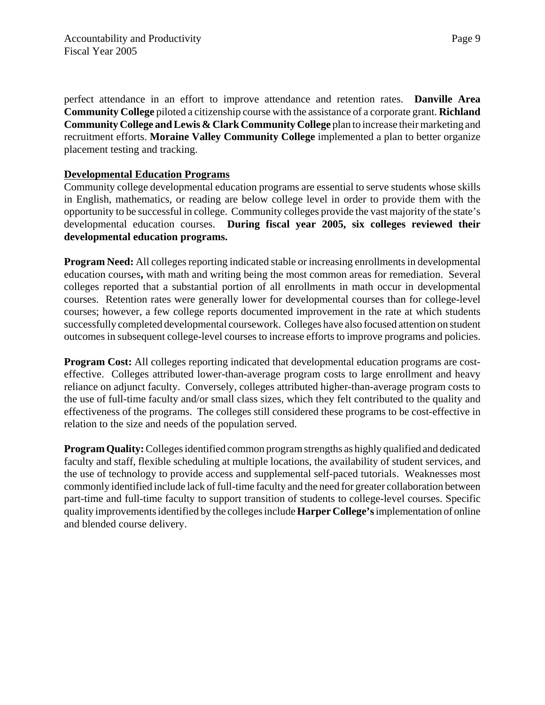perfect attendance in an effort to improve attendance and retention rates. **Danville Area Community College** piloted a citizenship course with the assistance of a corporate grant. **Richland Community College and Lewis & Clark Community College** plan to increase their marketing and recruitment efforts. **Moraine Valley Community College** implemented a plan to better organize placement testing and tracking.

#### **Developmental Education Programs**

Community college developmental education programs are essential to serve students whose skills in English, mathematics, or reading are below college level in order to provide them with the opportunity to be successful in college. Community colleges provide the vast majority of the state's developmental education courses. **During fiscal year 2005, six colleges reviewed their developmental education programs.**

**Program Need:** All colleges reporting indicated stable or increasing enrollments in developmental education courses**,** with math and writing being the most common areas for remediation. Several colleges reported that a substantial portion of all enrollments in math occur in developmental courses. Retention rates were generally lower for developmental courses than for college-level courses; however, a few college reports documented improvement in the rate at which students successfully completed developmental coursework. Colleges have also focused attention on student outcomes in subsequent college-level courses to increase efforts to improve programs and policies.

**Program Cost:** All colleges reporting indicated that developmental education programs are costeffective. Colleges attributed lower-than-average program costs to large enrollment and heavy reliance on adjunct faculty. Conversely, colleges attributed higher-than-average program costs to the use of full-time faculty and/or small class sizes, which they felt contributed to the quality and effectiveness of the programs. The colleges still considered these programs to be cost-effective in relation to the size and needs of the population served.

**Program Quality:** Colleges identified common program strengths as highly qualified and dedicated faculty and staff, flexible scheduling at multiple locations, the availability of student services, and the use of technology to provide access and supplemental self-paced tutorials. Weaknesses most commonly identified include lack of full-time faculty and the need for greater collaboration between part-time and full-time faculty to support transition of students to college-level courses. Specific quality improvements identified by the colleges include **Harper College's** implementation of online and blended course delivery.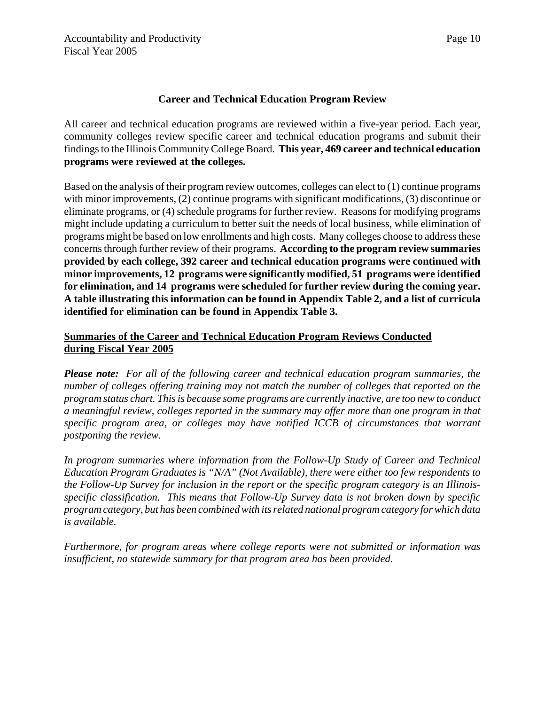#### **Career and Technical Education Program Review**

All career and technical education programs are reviewed within a five-year period. Each year, community colleges review specific career and technical education programs and submit their findings to the Illinois Community College Board. **This year, 469 career and technical education programs were reviewed at the colleges.**

Based on the analysis of their program review outcomes, colleges can elect to (1) continue programs with minor improvements, (2) continue programs with significant modifications, (3) discontinue or eliminate programs, or (4) schedule programs for further review. Reasons for modifying programs might include updating a curriculum to better suit the needs of local business, while elimination of programs might be based on low enrollments and high costs. Many colleges choose to address these concerns through further review of their programs. **According to the program review summaries provided by each college, 392 career and technical education programs were continued with minor improvements, 12 programs were significantly modified, 51 programs were identified for elimination, and 14 programs were scheduled for further review during the coming year. A table illustrating this information can be found in Appendix Table 2, and a list of curricula identified for elimination can be found in Appendix Table 3.**

#### **Summaries of the Career and Technical Education Program Reviews Conducted during Fiscal Year 2005**

*Please note: For all of the following career and technical education program summaries, the number of colleges offering training may not match the number of colleges that reported on the program status chart. This is because some programs are currently inactive, are too new to conduct a meaningful review, colleges reported in the summary may offer more than one program in that specific program area, or colleges may have notified ICCB of circumstances that warrant postponing the review.* 

*In program summaries where information from the Follow-Up Study of Career and Technical Education Program Graduates is "N/A" (Not Available), there were either too few respondents to the Follow-Up Survey for inclusion in the report or the specific program category is an Illinoisspecific classification. This means that Follow-Up Survey data is not broken down by specific program category, but has been combined with its related national program category for which data is available.*

*Furthermore, for program areas where college reports were not submitted or information was insufficient, no statewide summary for that program area has been provided.*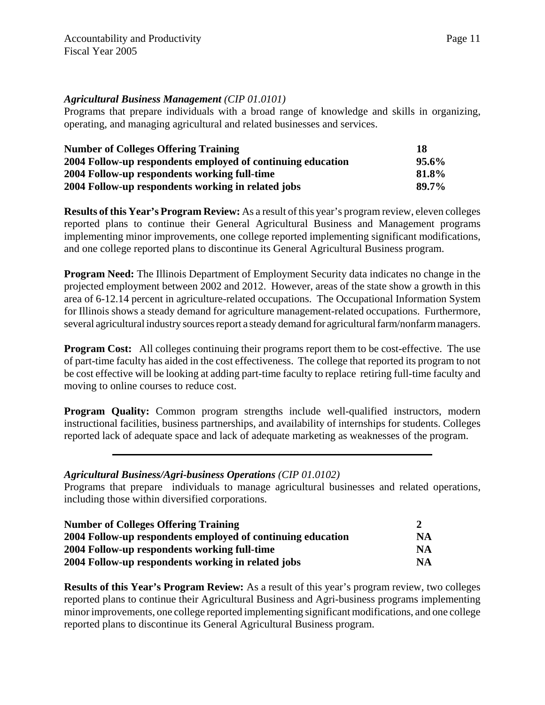#### *Agricultural Business Management (CIP 01.0101)*

Programs that prepare individuals with a broad range of knowledge and skills in organizing, operating, and managing agricultural and related businesses and services.

| <b>Number of Colleges Offering Training</b>                 | 18       |
|-------------------------------------------------------------|----------|
| 2004 Follow-up respondents employed of continuing education | $95.6\%$ |
| 2004 Follow-up respondents working full-time                | 81.8%    |
| 2004 Follow-up respondents working in related jobs          | 89.7%    |

**Results of this Year's Program Review:** As a result of this year's program review, eleven colleges reported plans to continue their General Agricultural Business and Management programs implementing minor improvements, one college reported implementing significant modifications, and one college reported plans to discontinue its General Agricultural Business program.

**Program Need:** The Illinois Department of Employment Security data indicates no change in the projected employment between 2002 and 2012. However, areas of the state show a growth in this area of 6-12.14 percent in agriculture-related occupations. The Occupational Information System for Illinois shows a steady demand for agriculture management-related occupations. Furthermore, several agricultural industry sources report a steady demand for agricultural farm/nonfarm managers.

**Program Cost:** All colleges continuing their programs report them to be cost-effective. The use of part-time faculty has aided in the cost effectiveness. The college that reported its program to not be cost effective will be looking at adding part-time faculty to replace retiring full-time faculty and moving to online courses to reduce cost.

Program Quality: Common program strengths include well-qualified instructors, modern instructional facilities, business partnerships, and availability of internships for students. Colleges reported lack of adequate space and lack of adequate marketing as weaknesses of the program.

#### *Agricultural Business/Agri-business Operations (CIP 01.0102)*

Programs that prepare individuals to manage agricultural businesses and related operations, including those within diversified corporations.

| <b>Number of Colleges Offering Training</b>                 |           |
|-------------------------------------------------------------|-----------|
| 2004 Follow-up respondents employed of continuing education | NA        |
| 2004 Follow-up respondents working full-time                | <b>NA</b> |
| 2004 Follow-up respondents working in related jobs          | <b>NA</b> |

**Results of this Year's Program Review:** As a result of this year's program review, two colleges reported plans to continue their Agricultural Business and Agri-business programs implementing minor improvements, one college reported implementing significant modifications, and one college reported plans to discontinue its General Agricultural Business program.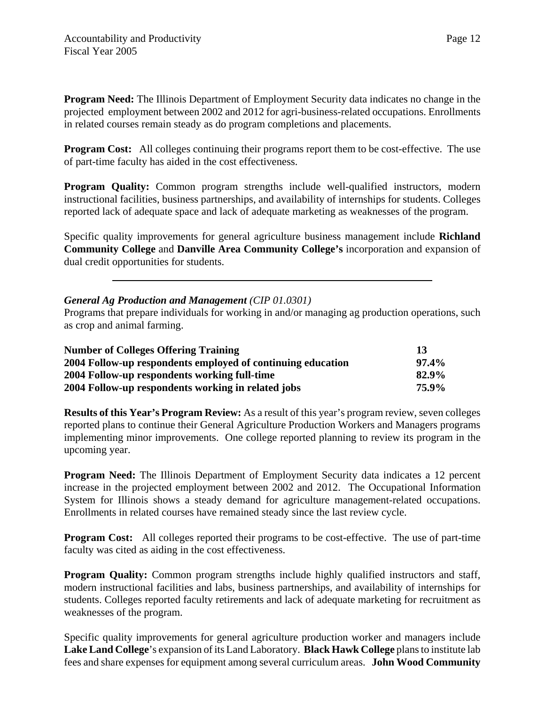**Program Need:** The Illinois Department of Employment Security data indicates no change in the projected employment between 2002 and 2012 for agri-business-related occupations. Enrollments in related courses remain steady as do program completions and placements.

**Program Cost:** All colleges continuing their programs report them to be cost-effective. The use of part-time faculty has aided in the cost effectiveness.

**Program Quality:** Common program strengths include well-qualified instructors, modern instructional facilities, business partnerships, and availability of internships for students. Colleges reported lack of adequate space and lack of adequate marketing as weaknesses of the program.

Specific quality improvements for general agriculture business management include **Richland Community College** and **Danville Area Community College's** incorporation and expansion of dual credit opportunities for students.

#### *General Ag Production and Management (CIP 01.0301)*

Programs that prepare individuals for working in and/or managing ag production operations, such as crop and animal farming.

| <b>Number of Colleges Offering Training</b>                 | 13    |
|-------------------------------------------------------------|-------|
| 2004 Follow-up respondents employed of continuing education | 97.4% |
| 2004 Follow-up respondents working full-time                | 82.9% |
| 2004 Follow-up respondents working in related jobs          | 75.9% |

**Results of this Year's Program Review:** As a result of this year's program review, seven colleges reported plans to continue their General Agriculture Production Workers and Managers programs implementing minor improvements. One college reported planning to review its program in the upcoming year.

**Program Need:** The Illinois Department of Employment Security data indicates a 12 percent increase in the projected employment between 2002 and 2012. The Occupational Information System for Illinois shows a steady demand for agriculture management-related occupations. Enrollments in related courses have remained steady since the last review cycle.

**Program Cost:** All colleges reported their programs to be cost-effective. The use of part-time faculty was cited as aiding in the cost effectiveness.

**Program Quality:** Common program strengths include highly qualified instructors and staff, modern instructional facilities and labs, business partnerships, and availability of internships for students. Colleges reported faculty retirements and lack of adequate marketing for recruitment as weaknesses of the program.

Specific quality improvements for general agriculture production worker and managers include **Lake Land College**'s expansion of its Land Laboratory. **Black Hawk College** plans to institute lab fees and share expenses for equipment among several curriculum areas. **John Wood Community**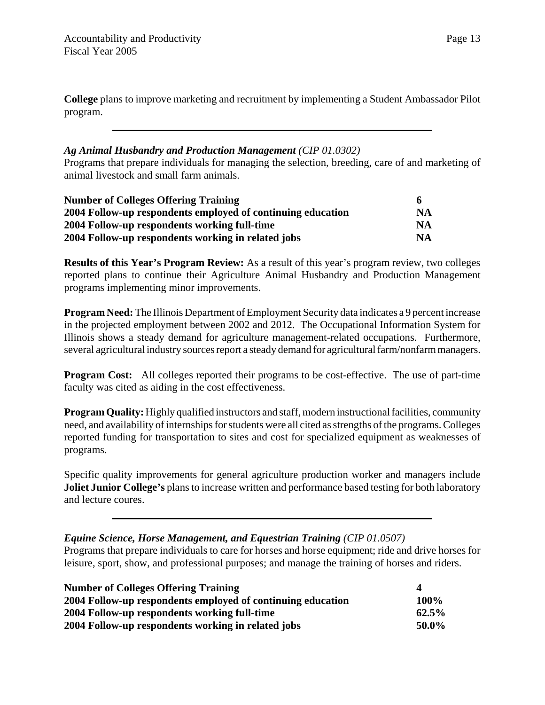**College** plans to improve marketing and recruitment by implementing a Student Ambassador Pilot program.

#### *Ag Animal Husbandry and Production Management (CIP 01.0302)*

Programs that prepare individuals for managing the selection, breeding, care of and marketing of animal livestock and small farm animals.

| <b>Number of Colleges Offering Training</b>                 | 6         |
|-------------------------------------------------------------|-----------|
| 2004 Follow-up respondents employed of continuing education | NA        |
| 2004 Follow-up respondents working full-time                | <b>NA</b> |
| 2004 Follow-up respondents working in related jobs          | <b>NA</b> |

**Results of this Year's Program Review:** As a result of this year's program review, two colleges reported plans to continue their Agriculture Animal Husbandry and Production Management programs implementing minor improvements.

**Program Need:** The Illinois Department of Employment Security data indicates a 9 percent increase in the projected employment between 2002 and 2012. The Occupational Information System for Illinois shows a steady demand for agriculture management-related occupations. Furthermore, several agricultural industry sources report a steady demand for agricultural farm/nonfarm managers.

**Program Cost:** All colleges reported their programs to be cost-effective. The use of part-time faculty was cited as aiding in the cost effectiveness.

**Program Quality:** Highly qualified instructors and staff, modern instructional facilities, community need, and availability of internships for students were all cited as strengths of the programs. Colleges reported funding for transportation to sites and cost for specialized equipment as weaknesses of programs.

Specific quality improvements for general agriculture production worker and managers include **Joliet Junior College's** plans to increase written and performance based testing for both laboratory and lecture coures.

*Equine Science, Horse Management, and Equestrian Training (CIP 01.0507)*

Programs that prepare individuals to care for horses and horse equipment; ride and drive horses for leisure, sport, show, and professional purposes; and manage the training of horses and riders.

| <b>Number of Colleges Offering Training</b>                 |          |
|-------------------------------------------------------------|----------|
| 2004 Follow-up respondents employed of continuing education | 100%     |
| 2004 Follow-up respondents working full-time                | $62.5\%$ |
| 2004 Follow-up respondents working in related jobs          | 50.0%    |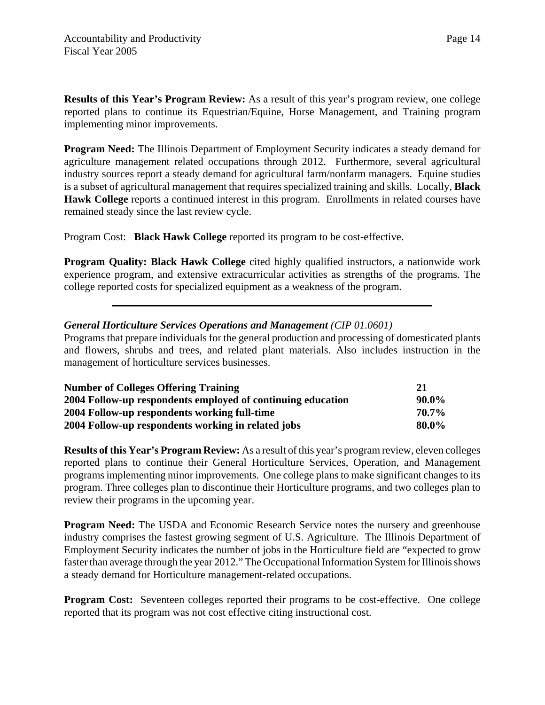**Results of this Year's Program Review:** As a result of this year's program review, one college reported plans to continue its Equestrian/Equine, Horse Management, and Training program implementing minor improvements.

**Program Need:** The Illinois Department of Employment Security indicates a steady demand for agriculture management related occupations through 2012. Furthermore, several agricultural industry sources report a steady demand for agricultural farm/nonfarm managers. Equine studies is a subset of agricultural management that requires specialized training and skills. Locally, **Black Hawk College** reports a continued interest in this program. Enrollments in related courses have remained steady since the last review cycle.

Program Cost: **Black Hawk College** reported its program to be cost-effective.

**Program Quality: Black Hawk College** cited highly qualified instructors, a nationwide work experience program, and extensive extracurricular activities as strengths of the programs. The college reported costs for specialized equipment as a weakness of the program.

#### *General Horticulture Services Operations and Management (CIP 01.0601)*

Programs that prepare individuals for the general production and processing of domesticated plants and flowers, shrubs and trees, and related plant materials. Also includes instruction in the management of horticulture services businesses.

| <b>Number of Colleges Offering Training</b>                 | 21    |
|-------------------------------------------------------------|-------|
| 2004 Follow-up respondents employed of continuing education | 90.0% |
| 2004 Follow-up respondents working full-time                | 70.7% |
| 2004 Follow-up respondents working in related jobs          | 80.0% |

**Results of this Year's Program Review:** As a result of this year's program review, eleven colleges reported plans to continue their General Horticulture Services, Operation, and Management programs implementing minor improvements. One college plans to make significant changes to its program. Three colleges plan to discontinue their Horticulture programs, and two colleges plan to review their programs in the upcoming year.

**Program Need:** The USDA and Economic Research Service notes the nursery and greenhouse industry comprises the fastest growing segment of U.S. Agriculture. The Illinois Department of Employment Security indicates the number of jobs in the Horticulture field are "expected to grow faster than average through the year 2012." The Occupational Information System for Illinois shows a steady demand for Horticulture management-related occupations.

**Program Cost:** Seventeen colleges reported their programs to be cost-effective. One college reported that its program was not cost effective citing instructional cost.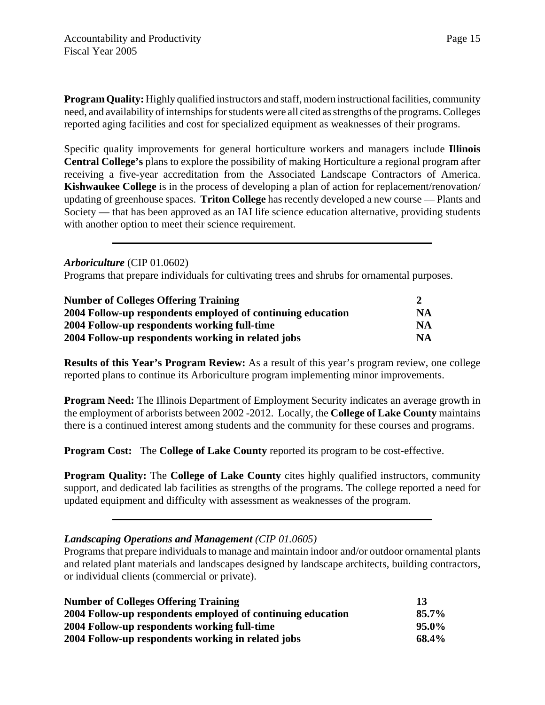**Program Quality:** Highly qualified instructors and staff, modern instructional facilities, community need, and availability of internships for students were all cited as strengths of the programs. Colleges reported aging facilities and cost for specialized equipment as weaknesses of their programs.

Specific quality improvements for general horticulture workers and managers include **Illinois Central College's** plans to explore the possibility of making Horticulture a regional program after receiving a five-year accreditation from the Associated Landscape Contractors of America. **Kishwaukee College** is in the process of developing a plan of action for replacement/renovation/ updating of greenhouse spaces. **Triton College** has recently developed a new course — Plants and Society — that has been approved as an IAI life science education alternative, providing students with another option to meet their science requirement.

#### *Arboriculture* (CIP 01.0602)

Programs that prepare individuals for cultivating trees and shrubs for ornamental purposes.

| <b>Number of Colleges Offering Training</b>                 |           |
|-------------------------------------------------------------|-----------|
| 2004 Follow-up respondents employed of continuing education | NA        |
| 2004 Follow-up respondents working full-time                | <b>NA</b> |
| 2004 Follow-up respondents working in related jobs          | NA        |

**Results of this Year's Program Review:** As a result of this year's program review, one college reported plans to continue its Arboriculture program implementing minor improvements.

**Program Need:** The Illinois Department of Employment Security indicates an average growth in the employment of arborists between 2002 -2012. Locally, the **College of Lake County** maintains there is a continued interest among students and the community for these courses and programs.

**Program Cost:** The **College of Lake County** reported its program to be cost-effective.

**Program Quality:** The **College of Lake County** cites highly qualified instructors, community support, and dedicated lab facilities as strengths of the programs. The college reported a need for updated equipment and difficulty with assessment as weaknesses of the program.

#### *Landscaping Operations and Management (CIP 01.0605)*

Programs that prepare individuals to manage and maintain indoor and/or outdoor ornamental plants and related plant materials and landscapes designed by landscape architects, building contractors, or individual clients (commercial or private).

| <b>Number of Colleges Offering Training</b>                 | 13       |
|-------------------------------------------------------------|----------|
| 2004 Follow-up respondents employed of continuing education | $85.7\%$ |
| 2004 Follow-up respondents working full-time                | $95.0\%$ |
| 2004 Follow-up respondents working in related jobs          | 68.4%    |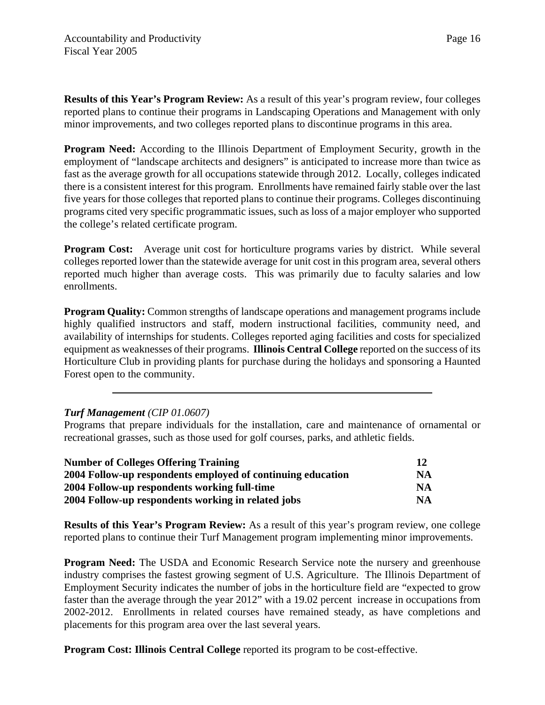**Results of this Year's Program Review:** As a result of this year's program review, four colleges reported plans to continue their programs in Landscaping Operations and Management with only minor improvements, and two colleges reported plans to discontinue programs in this area.

**Program Need:** According to the Illinois Department of Employment Security, growth in the employment of "landscape architects and designers" is anticipated to increase more than twice as fast as the average growth for all occupations statewide through 2012. Locally, colleges indicated there is a consistent interest for this program. Enrollments have remained fairly stable over the last five years for those colleges that reported plans to continue their programs. Colleges discontinuing programs cited very specific programmatic issues, such as loss of a major employer who supported the college's related certificate program.

**Program Cost:** Average unit cost for horticulture programs varies by district. While several colleges reported lower than the statewide average for unit cost in this program area, several others reported much higher than average costs. This was primarily due to faculty salaries and low enrollments.

**Program Quality:** Common strengths of landscape operations and management programs include highly qualified instructors and staff, modern instructional facilities, community need, and availability of internships for students. Colleges reported aging facilities and costs for specialized equipment as weaknesses of their programs. **Illinois Central College** reported on the success of its Horticulture Club in providing plants for purchase during the holidays and sponsoring a Haunted Forest open to the community.

#### *Turf Management (CIP 01.0607)*

Programs that prepare individuals for the installation, care and maintenance of ornamental or recreational grasses, such as those used for golf courses, parks, and athletic fields.

| <b>Number of Colleges Offering Training</b>                 | 12        |
|-------------------------------------------------------------|-----------|
| 2004 Follow-up respondents employed of continuing education | NA        |
| 2004 Follow-up respondents working full-time                | <b>NA</b> |
| 2004 Follow-up respondents working in related jobs          | NA        |

**Results of this Year's Program Review:** As a result of this year's program review, one college reported plans to continue their Turf Management program implementing minor improvements.

**Program Need:** The USDA and Economic Research Service note the nursery and greenhouse industry comprises the fastest growing segment of U.S. Agriculture. The Illinois Department of Employment Security indicates the number of jobs in the horticulture field are "expected to grow faster than the average through the year 2012" with a 19.02 percent increase in occupations from 2002-2012. Enrollments in related courses have remained steady, as have completions and placements for this program area over the last several years.

**Program Cost: Illinois Central College** reported its program to be cost-effective.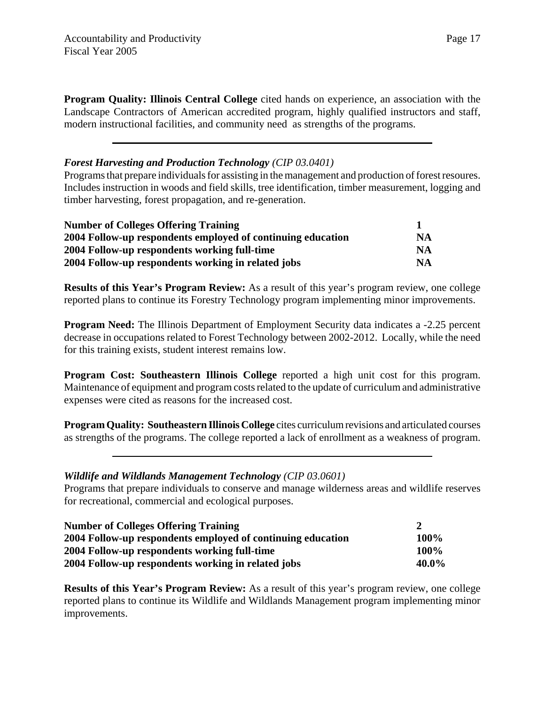**Program Quality: Illinois Central College** cited hands on experience, an association with the Landscape Contractors of American accredited program, highly qualified instructors and staff, modern instructional facilities, and community need as strengths of the programs.

#### *Forest Harvesting and Production Technology (CIP 03.0401)*

Programs that prepare individuals for assisting in the management and production of forest resoures. Includes instruction in woods and field skills, tree identification, timber measurement, logging and timber harvesting, forest propagation, and re-generation.

| <b>Number of Colleges Offering Training</b><br>2004 Follow-up respondents employed of continuing education | NA |
|------------------------------------------------------------------------------------------------------------|----|
|                                                                                                            |    |
| 2004 Follow-up respondents working in related jobs                                                         | NA |

**Results of this Year's Program Review:** As a result of this year's program review, one college reported plans to continue its Forestry Technology program implementing minor improvements.

**Program Need:** The Illinois Department of Employment Security data indicates a -2.25 percent decrease in occupations related to Forest Technology between 2002-2012. Locally, while the need for this training exists, student interest remains low.

**Program Cost: Southeastern Illinois College** reported a high unit cost for this program. Maintenance of equipment and program costs related to the update of curriculum and administrative expenses were cited as reasons for the increased cost.

**Program Quality: Southeastern Illinois College** cites curriculum revisions and articulated courses as strengths of the programs. The college reported a lack of enrollment as a weakness of program.

#### *Wildlife and Wildlands Management Technology (CIP 03.0601)*

Programs that prepare individuals to conserve and manage wilderness areas and wildlife reserves for recreational, commercial and ecological purposes.

| <b>Number of Colleges Offering Training</b>                 |       |
|-------------------------------------------------------------|-------|
| 2004 Follow-up respondents employed of continuing education | 100%  |
| 2004 Follow-up respondents working full-time                | 100%  |
| 2004 Follow-up respondents working in related jobs          | 40.0% |

**Results of this Year's Program Review:** As a result of this year's program review, one college reported plans to continue its Wildlife and Wildlands Management program implementing minor improvements.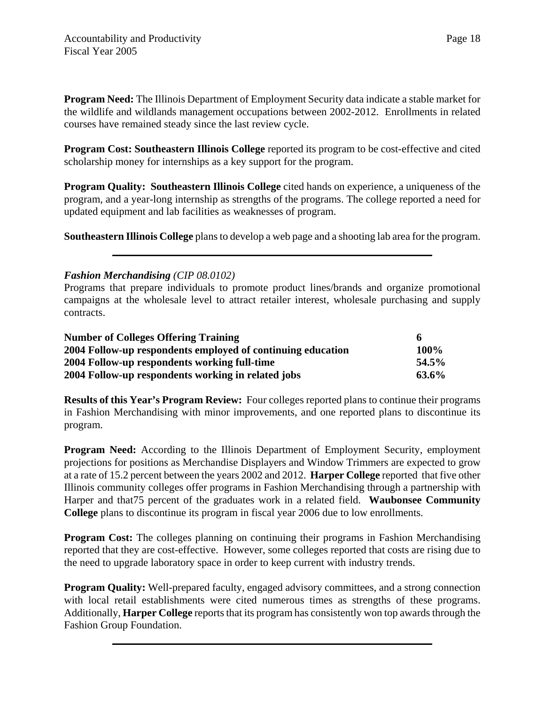**Program Need:** The Illinois Department of Employment Security data indicate a stable market for the wildlife and wildlands management occupations between 2002-2012. Enrollments in related courses have remained steady since the last review cycle.

**Program Cost: Southeastern Illinois College** reported its program to be cost-effective and cited scholarship money for internships as a key support for the program.

**Program Quality: Southeastern Illinois College** cited hands on experience, a uniqueness of the program, and a year-long internship as strengths of the programs. The college reported a need for updated equipment and lab facilities as weaknesses of program.

**Southeastern Illinois College** plans to develop a web page and a shooting lab area for the program.

*Fashion Merchandising (CIP 08.0102)*

Programs that prepare individuals to promote product lines/brands and organize promotional campaigns at the wholesale level to attract retailer interest, wholesale purchasing and supply contracts.

| <b>Number of Colleges Offering Training</b>                 | 6                |
|-------------------------------------------------------------|------------------|
| 2004 Follow-up respondents employed of continuing education | 100 <sup>%</sup> |
| 2004 Follow-up respondents working full-time                | 54.5%            |
| 2004 Follow-up respondents working in related jobs          | 63.6%            |

**Results of this Year's Program Review:** Four colleges reported plans to continue their programs in Fashion Merchandising with minor improvements, and one reported plans to discontinue its program.

**Program Need:** According to the Illinois Department of Employment Security, employment projections for positions as Merchandise Displayers and Window Trimmers are expected to grow at a rate of 15.2 percent between the years 2002 and 2012. **Harper College** reported that five other Illinois community colleges offer programs in Fashion Merchandising through a partnership with Harper and that75 percent of the graduates work in a related field. **Waubonsee Community College** plans to discontinue its program in fiscal year 2006 due to low enrollments.

**Program Cost:** The colleges planning on continuing their programs in Fashion Merchandising reported that they are cost-effective. However, some colleges reported that costs are rising due to the need to upgrade laboratory space in order to keep current with industry trends.

**Program Quality:** Well-prepared faculty, engaged advisory committees, and a strong connection with local retail establishments were cited numerous times as strengths of these programs. Additionally, **Harper College** reports that its program has consistently won top awards through the Fashion Group Foundation.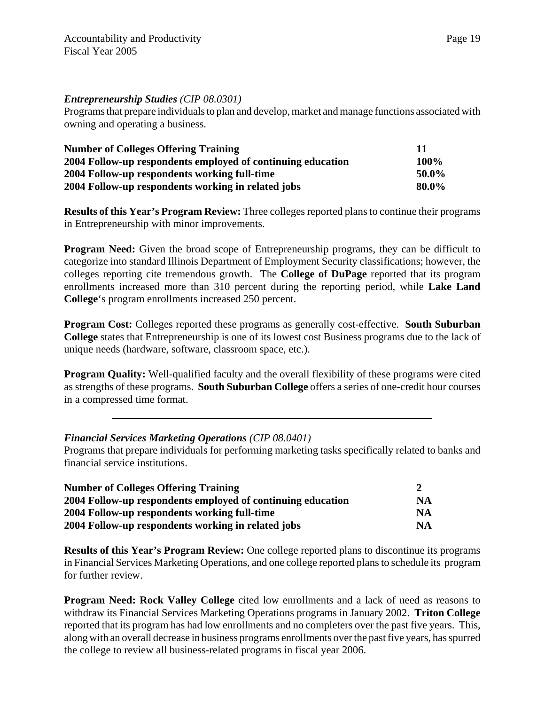#### *Entrepreneurship Studies (CIP 08.0301)*

Programs that prepare individuals to plan and develop, market and manage functions associated with owning and operating a business.

| <b>Number of Colleges Offering Training</b>                 | -11      |
|-------------------------------------------------------------|----------|
| 2004 Follow-up respondents employed of continuing education | 100%     |
| 2004 Follow-up respondents working full-time                | $50.0\%$ |
| 2004 Follow-up respondents working in related jobs          | 80.0%    |

**Results of this Year's Program Review:** Three colleges reported plans to continue their programs in Entrepreneurship with minor improvements.

**Program Need:** Given the broad scope of Entrepreneurship programs, they can be difficult to categorize into standard Illinois Department of Employment Security classifications; however, the colleges reporting cite tremendous growth. The **College of DuPage** reported that its program enrollments increased more than 310 percent during the reporting period, while **Lake Land College**'s program enrollments increased 250 percent.

**Program Cost:** Colleges reported these programs as generally cost-effective. **South Suburban College** states that Entrepreneurship is one of its lowest cost Business programs due to the lack of unique needs (hardware, software, classroom space, etc.).

**Program Quality:** Well-qualified faculty and the overall flexibility of these programs were cited as strengths of these programs. **South Suburban College** offers a series of one-credit hour courses in a compressed time format.

#### *Financial Services Marketing Operations (CIP 08.0401)*

Programs that prepare individuals for performing marketing tasks specifically related to banks and financial service institutions.

| <b>Number of Colleges Offering Training</b>                 |           |
|-------------------------------------------------------------|-----------|
| 2004 Follow-up respondents employed of continuing education | NA        |
| 2004 Follow-up respondents working full-time                | <b>NA</b> |
| 2004 Follow-up respondents working in related jobs          | <b>NA</b> |

**Results of this Year's Program Review:** One college reported plans to discontinue its programs in Financial Services Marketing Operations, and one college reported plans to schedule its program for further review.

**Program Need: Rock Valley College** cited low enrollments and a lack of need as reasons to withdraw its Financial Services Marketing Operations programs in January 2002. **Triton College** reported that its program has had low enrollments and no completers over the past five years. This, along with an overall decrease in business programs enrollments over the past five years, has spurred the college to review all business-related programs in fiscal year 2006.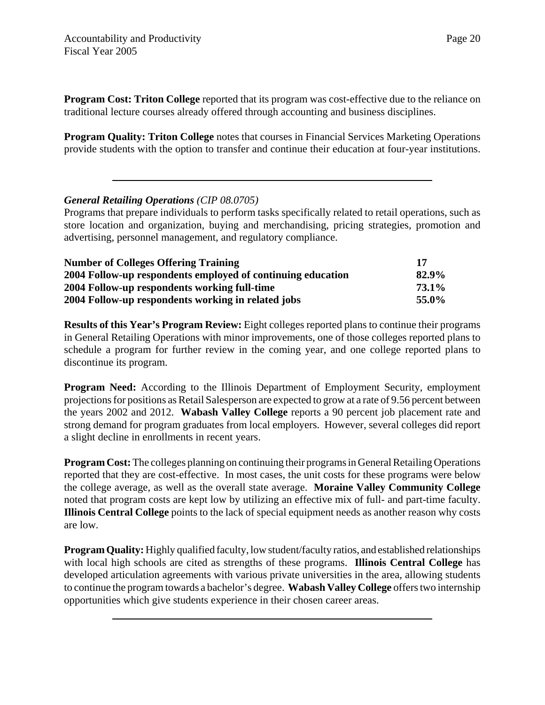**Program Cost: Triton College** reported that its program was cost-effective due to the reliance on traditional lecture courses already offered through accounting and business disciplines.

**Program Quality: Triton College** notes that courses in Financial Services Marketing Operations provide students with the option to transfer and continue their education at four-year institutions.

#### *General Retailing Operations (CIP 08.0705)*

Programs that prepare individuals to perform tasks specifically related to retail operations, such as store location and organization, buying and merchandising, pricing strategies, promotion and advertising, personnel management, and regulatory compliance.

| <b>Number of Colleges Offering Training</b>                 | 17    |
|-------------------------------------------------------------|-------|
| 2004 Follow-up respondents employed of continuing education | 82.9% |
| 2004 Follow-up respondents working full-time                | 73.1% |
| 2004 Follow-up respondents working in related jobs          | 55.0% |

**Results of this Year's Program Review:** Eight colleges reported plans to continue their programs in General Retailing Operations with minor improvements, one of those colleges reported plans to schedule a program for further review in the coming year, and one college reported plans to discontinue its program.

**Program Need:** According to the Illinois Department of Employment Security, employment projections for positions as Retail Salesperson are expected to grow at a rate of 9.56 percent between the years 2002 and 2012. **Wabash Valley College** reports a 90 percent job placement rate and strong demand for program graduates from local employers. However, several colleges did report a slight decline in enrollments in recent years.

**Program Cost:** The colleges planning on continuing their programs in General Retailing Operations reported that they are cost-effective. In most cases, the unit costs for these programs were below the college average, as well as the overall state average. **Moraine Valley Community College** noted that program costs are kept low by utilizing an effective mix of full- and part-time faculty. **Illinois Central College** points to the lack of special equipment needs as another reason why costs are low.

**Program Quality:** Highly qualified faculty, low student/faculty ratios, and established relationships with local high schools are cited as strengths of these programs. **Illinois Central College** has developed articulation agreements with various private universities in the area, allowing students to continue the program towards a bachelor's degree. **Wabash Valley College** offers two internship opportunities which give students experience in their chosen career areas.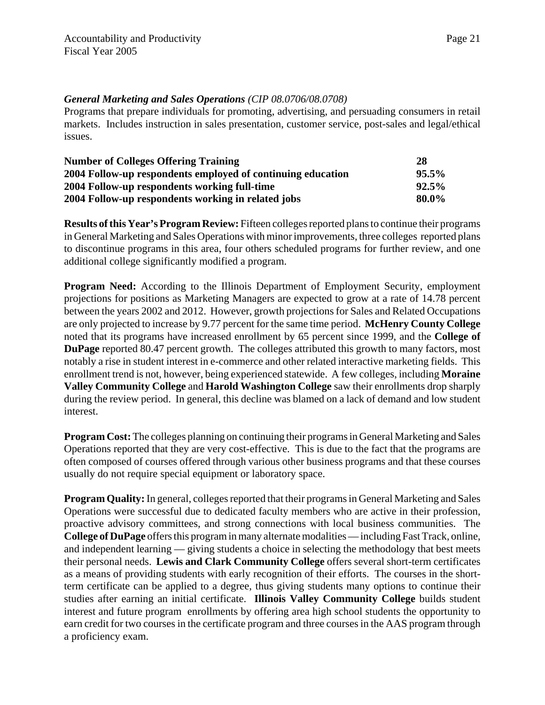#### *General Marketing and Sales Operations (CIP 08.0706/08.0708)*

Programs that prepare individuals for promoting, advertising, and persuading consumers in retail markets. Includes instruction in sales presentation, customer service, post-sales and legal/ethical issues.

| <b>Number of Colleges Offering Training</b>                 | 28    |
|-------------------------------------------------------------|-------|
| 2004 Follow-up respondents employed of continuing education | 95.5% |
| 2004 Follow-up respondents working full-time                | 92.5% |
| 2004 Follow-up respondents working in related jobs          | 80.0% |

**Results of this Year's Program Review:** Fifteen colleges reported plans to continue their programs in General Marketing and Sales Operations with minor improvements, three colleges reported plans to discontinue programs in this area, four others scheduled programs for further review, and one additional college significantly modified a program.

**Program Need:** According to the Illinois Department of Employment Security, employment projections for positions as Marketing Managers are expected to grow at a rate of 14.78 percent between the years 2002 and 2012. However, growth projections for Sales and Related Occupations are only projected to increase by 9.77 percent for the same time period. **McHenry County College** noted that its programs have increased enrollment by 65 percent since 1999, and the **College of DuPage** reported 80.47 percent growth. The colleges attributed this growth to many factors, most notably a rise in student interest in e-commerce and other related interactive marketing fields. This enrollment trend is not, however, being experienced statewide. A few colleges, including **Moraine Valley Community College** and **Harold Washington College** saw their enrollments drop sharply during the review period. In general, this decline was blamed on a lack of demand and low student interest.

**Program Cost:** The colleges planning on continuing their programs in General Marketing and Sales Operations reported that they are very cost-effective. This is due to the fact that the programs are often composed of courses offered through various other business programs and that these courses usually do not require special equipment or laboratory space.

**Program Quality:** In general, colleges reported that their programs in General Marketing and Sales Operations were successful due to dedicated faculty members who are active in their profession, proactive advisory committees, and strong connections with local business communities. The **College of DuPage** offers this program in many alternate modalities — including Fast Track, online, and independent learning — giving students a choice in selecting the methodology that best meets their personal needs. **Lewis and Clark Community College** offers several short-term certificates as a means of providing students with early recognition of their efforts. The courses in the shortterm certificate can be applied to a degree, thus giving students many options to continue their studies after earning an initial certificate. **Illinois Valley Community College** builds student interest and future program enrollments by offering area high school students the opportunity to earn credit for two courses in the certificate program and three courses in the AAS program through a proficiency exam.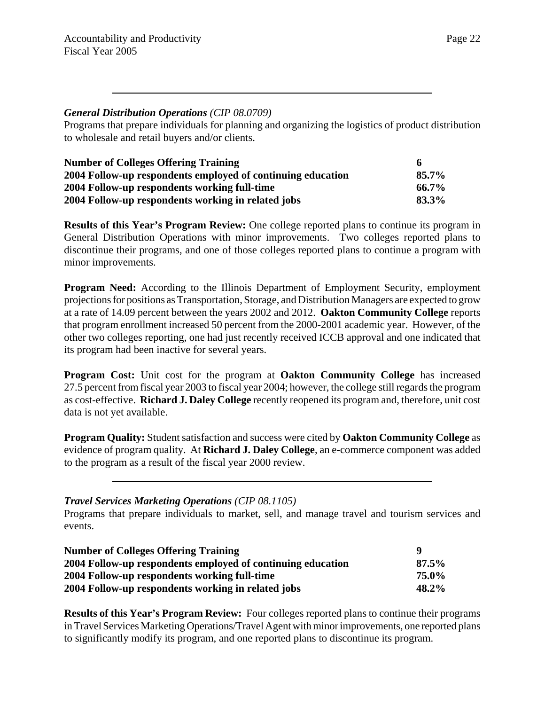#### *General Distribution Operations (CIP 08.0709)*

Programs that prepare individuals for planning and organizing the logistics of product distribution to wholesale and retail buyers and/or clients.

| <b>Number of Colleges Offering Training</b>                 | 6     |
|-------------------------------------------------------------|-------|
| 2004 Follow-up respondents employed of continuing education | 85.7% |
| 2004 Follow-up respondents working full-time                | 66.7% |
| 2004 Follow-up respondents working in related jobs          | 83.3% |

**Results of this Year's Program Review:** One college reported plans to continue its program in General Distribution Operations with minor improvements. Two colleges reported plans to discontinue their programs, and one of those colleges reported plans to continue a program with minor improvements.

**Program Need:** According to the Illinois Department of Employment Security, employment projections for positions as Transportation, Storage, and Distribution Managers are expected to grow at a rate of 14.09 percent between the years 2002 and 2012. **Oakton Community College** reports that program enrollment increased 50 percent from the 2000-2001 academic year. However, of the other two colleges reporting, one had just recently received ICCB approval and one indicated that its program had been inactive for several years.

**Program Cost:** Unit cost for the program at **Oakton Community College** has increased 27.5 percent from fiscal year 2003 to fiscal year 2004; however, the college still regards the program as cost-effective. **Richard J. Daley College** recently reopened its program and, therefore, unit cost data is not yet available.

**Program Quality:** Student satisfaction and success were cited by **Oakton Community College** as evidence of program quality. At **Richard J. Daley College**, an e-commerce component was added to the program as a result of the fiscal year 2000 review.

#### *Travel Services Marketing Operations (CIP 08.1105)*

Programs that prepare individuals to market, sell, and manage travel and tourism services and events.

| <b>Number of Colleges Offering Training</b>                 |          |
|-------------------------------------------------------------|----------|
| 2004 Follow-up respondents employed of continuing education | $87.5\%$ |
| 2004 Follow-up respondents working full-time                | 75.0%    |
| 2004 Follow-up respondents working in related jobs          | $48.2\%$ |

**Results of this Year's Program Review:** Four colleges reported plans to continue their programs in Travel Services Marketing Operations/Travel Agent with minor improvements, one reported plans to significantly modify its program, and one reported plans to discontinue its program.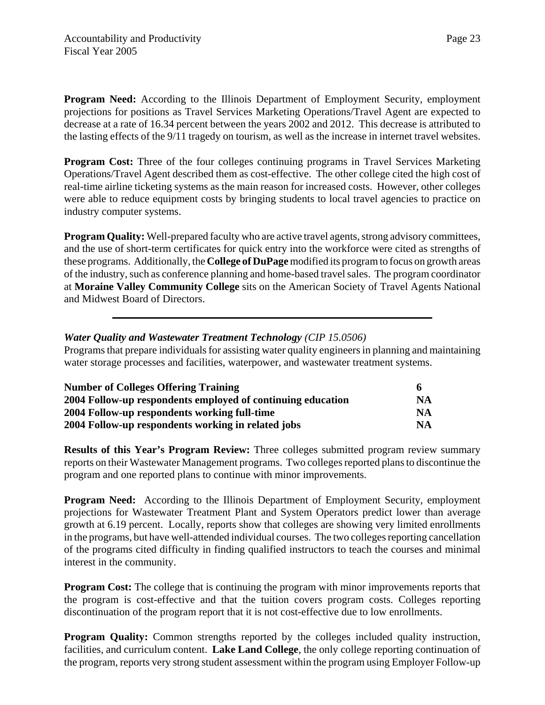**Program Need:** According to the Illinois Department of Employment Security, employment projections for positions as Travel Services Marketing Operations/Travel Agent are expected to decrease at a rate of 16.34 percent between the years 2002 and 2012. This decrease is attributed to the lasting effects of the 9/11 tragedy on tourism, as well as the increase in internet travel websites.

**Program Cost:** Three of the four colleges continuing programs in Travel Services Marketing Operations/Travel Agent described them as cost-effective. The other college cited the high cost of real-time airline ticketing systems as the main reason for increased costs. However, other colleges were able to reduce equipment costs by bringing students to local travel agencies to practice on industry computer systems.

**Program Quality:** Well-prepared faculty who are active travel agents, strong advisory committees, and the use of short-term certificates for quick entry into the workforce were cited as strengths of these programs. Additionally, the **College of DuPage** modified its program to focus on growth areas of the industry, such as conference planning and home-based travel sales. The program coordinator at **Moraine Valley Community College** sits on the American Society of Travel Agents National and Midwest Board of Directors.

#### *Water Quality and Wastewater Treatment Technology (CIP 15.0506)*

Programs that prepare individuals for assisting water quality engineers in planning and maintaining water storage processes and facilities, waterpower, and wastewater treatment systems.

| <b>Number of Colleges Offering Training</b>                 | 6         |
|-------------------------------------------------------------|-----------|
| 2004 Follow-up respondents employed of continuing education | <b>NA</b> |
| 2004 Follow-up respondents working full-time                | <b>NA</b> |
| 2004 Follow-up respondents working in related jobs          | <b>NA</b> |

**Results of this Year's Program Review:** Three colleges submitted program review summary reports on their Wastewater Management programs. Two colleges reported plans to discontinue the program and one reported plans to continue with minor improvements.

**Program Need:** According to the Illinois Department of Employment Security, employment projections for Wastewater Treatment Plant and System Operators predict lower than average growth at 6.19 percent. Locally, reports show that colleges are showing very limited enrollments in the programs, but have well-attended individual courses. The two colleges reporting cancellation of the programs cited difficulty in finding qualified instructors to teach the courses and minimal interest in the community.

**Program Cost:** The college that is continuing the program with minor improvements reports that the program is cost-effective and that the tuition covers program costs. Colleges reporting discontinuation of the program report that it is not cost-effective due to low enrollments.

**Program Quality:** Common strengths reported by the colleges included quality instruction, facilities, and curriculum content. **Lake Land College**, the only college reporting continuation of the program, reports very strong student assessment within the program using Employer Follow-up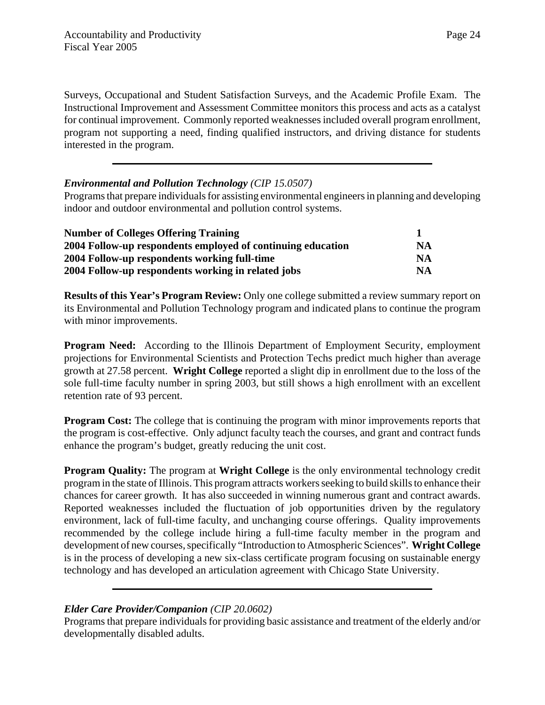Surveys, Occupational and Student Satisfaction Surveys, and the Academic Profile Exam. The Instructional Improvement and Assessment Committee monitors this process and acts as a catalyst for continual improvement. Commonly reported weaknesses included overall program enrollment, program not supporting a need, finding qualified instructors, and driving distance for students interested in the program.

#### *Environmental and Pollution Technology (CIP 15.0507)*

Programs that prepare individuals for assisting environmental engineers in planning and developing indoor and outdoor environmental and pollution control systems.

| <b>Number of Colleges Offering Training</b><br>2004 Follow-up respondents employed of continuing education | NA        |
|------------------------------------------------------------------------------------------------------------|-----------|
|                                                                                                            |           |
| 2004 Follow-up respondents working in related jobs                                                         | <b>NA</b> |

**Results of this Year's Program Review:** Only one college submitted a review summary report on its Environmental and Pollution Technology program and indicated plans to continue the program with minor improvements.

**Program Need:** According to the Illinois Department of Employment Security, employment projections for Environmental Scientists and Protection Techs predict much higher than average growth at 27.58 percent. **Wright College** reported a slight dip in enrollment due to the loss of the sole full-time faculty number in spring 2003, but still shows a high enrollment with an excellent retention rate of 93 percent.

**Program Cost:** The college that is continuing the program with minor improvements reports that the program is cost-effective. Only adjunct faculty teach the courses, and grant and contract funds enhance the program's budget, greatly reducing the unit cost.

**Program Quality:** The program at **Wright College** is the only environmental technology credit program in the state of Illinois. This program attracts workers seeking to build skills to enhance their chances for career growth. It has also succeeded in winning numerous grant and contract awards. Reported weaknesses included the fluctuation of job opportunities driven by the regulatory environment, lack of full-time faculty, and unchanging course offerings. Quality improvements recommended by the college include hiring a full-time faculty member in the program and development of new courses, specifically "Introduction to Atmospheric Sciences". **Wright College** is in the process of developing a new six-class certificate program focusing on sustainable energy technology and has developed an articulation agreement with Chicago State University.

#### *Elder Care Provider/Companion (CIP 20.0602)*

Programs that prepare individuals for providing basic assistance and treatment of the elderly and/or developmentally disabled adults.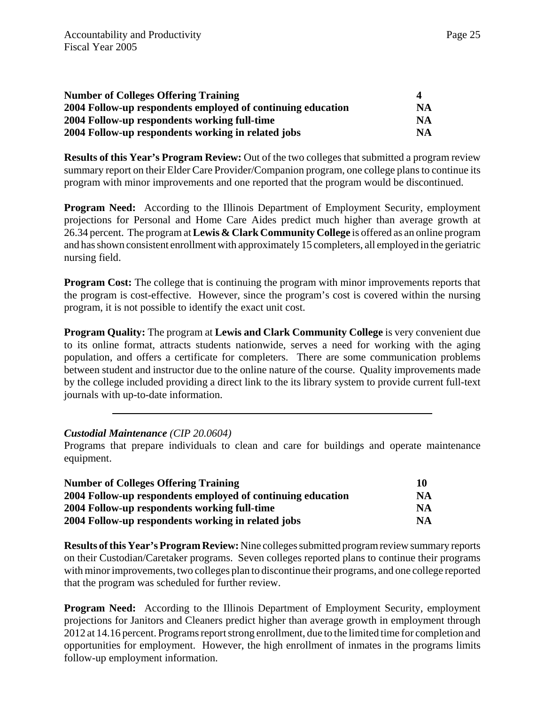| <b>Number of Colleges Offering Training</b><br>2004 Follow-up respondents employed of continuing education<br>2004 Follow-up respondents working full-time<br>2004 Follow-up respondents working in related jobs | NA<br><b>NA</b> |    |
|------------------------------------------------------------------------------------------------------------------------------------------------------------------------------------------------------------------|-----------------|----|
|                                                                                                                                                                                                                  |                 | NA |

**Results of this Year's Program Review:** Out of the two colleges that submitted a program review summary report on their Elder Care Provider/Companion program, one college plans to continue its program with minor improvements and one reported that the program would be discontinued.

**Program Need:** According to the Illinois Department of Employment Security, employment projections for Personal and Home Care Aides predict much higher than average growth at 26.34 percent. The program at **Lewis & Clark Community College** is offered as an online program and has shown consistent enrollment with approximately 15 completers, all employed in the geriatric nursing field.

**Program Cost:** The college that is continuing the program with minor improvements reports that the program is cost-effective. However, since the program's cost is covered within the nursing program, it is not possible to identify the exact unit cost.

**Program Quality:** The program at **Lewis and Clark Community College** is very convenient due to its online format, attracts students nationwide, serves a need for working with the aging population, and offers a certificate for completers. There are some communication problems between student and instructor due to the online nature of the course. Quality improvements made by the college included providing a direct link to the its library system to provide current full-text journals with up-to-date information.

#### *Custodial Maintenance (CIP 20.0604)*

Programs that prepare individuals to clean and care for buildings and operate maintenance equipment.

| <b>Number of Colleges Offering Training</b>                 | 10        |
|-------------------------------------------------------------|-----------|
| 2004 Follow-up respondents employed of continuing education | NA        |
| 2004 Follow-up respondents working full-time                | NA        |
| 2004 Follow-up respondents working in related jobs          | <b>NA</b> |

**Results of this Year's Program Review:** Nine colleges submitted program review summary reports on their Custodian/Caretaker programs. Seven colleges reported plans to continue their programs with minor improvements, two colleges plan to discontinue their programs, and one college reported that the program was scheduled for further review.

**Program Need:** According to the Illinois Department of Employment Security, employment projections for Janitors and Cleaners predict higher than average growth in employment through 2012 at 14.16 percent. Programs report strong enrollment, due to the limited time for completion and opportunities for employment. However, the high enrollment of inmates in the programs limits follow-up employment information.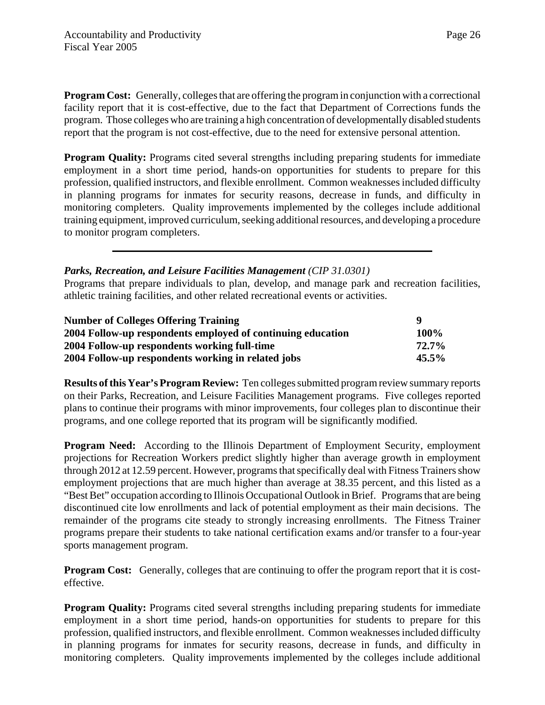**Program Cost:** Generally, colleges that are offering the program in conjunction with a correctional facility report that it is cost-effective, due to the fact that Department of Corrections funds the program. Those colleges who are training a high concentration of developmentally disabled students report that the program is not cost-effective, due to the need for extensive personal attention.

**Program Quality:** Programs cited several strengths including preparing students for immediate employment in a short time period, hands-on opportunities for students to prepare for this profession, qualified instructors, and flexible enrollment. Common weaknesses included difficulty in planning programs for inmates for security reasons, decrease in funds, and difficulty in monitoring completers. Quality improvements implemented by the colleges include additional training equipment, improved curriculum, seeking additional resources, and developing a procedure to monitor program completers.

*Parks, Recreation, and Leisure Facilities Management (CIP 31.0301)* Programs that prepare individuals to plan, develop, and manage park and recreation facilities, athletic training facilities, and other related recreational events or activities.

| <b>Number of Colleges Offering Training</b>                 | Q        |
|-------------------------------------------------------------|----------|
| 2004 Follow-up respondents employed of continuing education | 100%     |
| 2004 Follow-up respondents working full-time                | $72.7\%$ |
| 2004 Follow-up respondents working in related jobs          | $45.5\%$ |

**Results of this Year's Program Review:** Ten colleges submitted program review summary reports on their Parks, Recreation, and Leisure Facilities Management programs. Five colleges reported plans to continue their programs with minor improvements, four colleges plan to discontinue their programs, and one college reported that its program will be significantly modified.

**Program Need:** According to the Illinois Department of Employment Security, employment projections for Recreation Workers predict slightly higher than average growth in employment through 2012 at 12.59 percent. However, programs that specifically deal with Fitness Trainers show employment projections that are much higher than average at 38.35 percent, and this listed as a "Best Bet" occupation according to Illinois Occupational Outlook in Brief. Programs that are being discontinued cite low enrollments and lack of potential employment as their main decisions. The remainder of the programs cite steady to strongly increasing enrollments. The Fitness Trainer programs prepare their students to take national certification exams and/or transfer to a four-year sports management program.

**Program Cost:** Generally, colleges that are continuing to offer the program report that it is costeffective.

**Program Quality:** Programs cited several strengths including preparing students for immediate employment in a short time period, hands-on opportunities for students to prepare for this profession, qualified instructors, and flexible enrollment. Common weaknesses included difficulty in planning programs for inmates for security reasons, decrease in funds, and difficulty in monitoring completers. Quality improvements implemented by the colleges include additional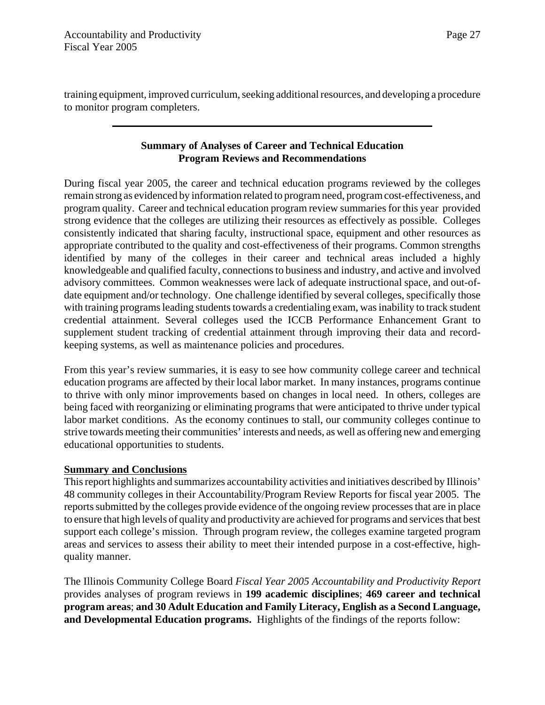Page 27

training equipment, improved curriculum, seeking additional resources, and developing a procedure to monitor program completers.

#### **Summary of Analyses of Career and Technical Education Program Reviews and Recommendations**

During fiscal year 2005, the career and technical education programs reviewed by the colleges remain strong as evidenced by information related to program need, program cost-effectiveness, and program quality. Career and technical education program review summaries for this year provided strong evidence that the colleges are utilizing their resources as effectively as possible. Colleges consistently indicated that sharing faculty, instructional space, equipment and other resources as appropriate contributed to the quality and cost-effectiveness of their programs. Common strengths identified by many of the colleges in their career and technical areas included a highly knowledgeable and qualified faculty, connections to business and industry, and active and involved advisory committees. Common weaknesses were lack of adequate instructional space, and out-ofdate equipment and/or technology. One challenge identified by several colleges, specifically those with training programs leading students towards a credentialing exam, was inability to track student credential attainment. Several colleges used the ICCB Performance Enhancement Grant to supplement student tracking of credential attainment through improving their data and recordkeeping systems, as well as maintenance policies and procedures.

From this year's review summaries, it is easy to see how community college career and technical education programs are affected by their local labor market. In many instances, programs continue to thrive with only minor improvements based on changes in local need. In others, colleges are being faced with reorganizing or eliminating programs that were anticipated to thrive under typical labor market conditions. As the economy continues to stall, our community colleges continue to strive towards meeting their communities' interests and needs, as well as offering new and emerging educational opportunities to students.

#### **Summary and Conclusions**

This report highlights and summarizes accountability activities and initiatives described by Illinois' 48 community colleges in their Accountability/Program Review Reports for fiscal year 2005. The reports submitted by the colleges provide evidence of the ongoing review processes that are in place to ensure that high levels of quality and productivity are achieved for programs and services that best support each college's mission. Through program review, the colleges examine targeted program areas and services to assess their ability to meet their intended purpose in a cost-effective, highquality manner.

The Illinois Community College Board *Fiscal Year 2005 Accountability and Productivity Report* provides analyses of program reviews in **199 academic disciplines**; **469 career and technical program areas**; **and 30 Adult Education and Family Literacy, English as a Second Language, and Developmental Education programs.** Highlights of the findings of the reports follow: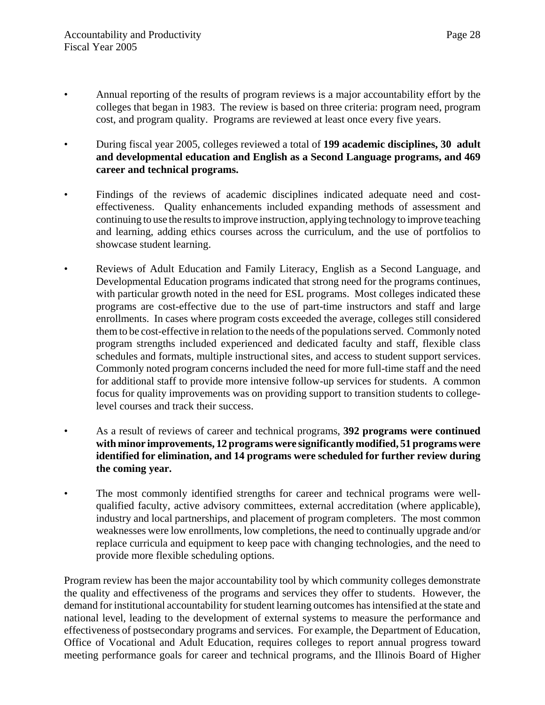- Annual reporting of the results of program reviews is a major accountability effort by the colleges that began in 1983. The review is based on three criteria: program need, program cost, and program quality. Programs are reviewed at least once every five years.
- During fiscal year 2005, colleges reviewed a total of **199 academic disciplines, 30 adult and developmental education and English as a Second Language programs, and 469 career and technical programs.**
- Findings of the reviews of academic disciplines indicated adequate need and costeffectiveness. Quality enhancements included expanding methods of assessment and continuing to use the results to improve instruction, applying technology to improve teaching and learning, adding ethics courses across the curriculum, and the use of portfolios to showcase student learning.
- Reviews of Adult Education and Family Literacy, English as a Second Language, and Developmental Education programs indicated that strong need for the programs continues, with particular growth noted in the need for ESL programs. Most colleges indicated these programs are cost-effective due to the use of part-time instructors and staff and large enrollments. In cases where program costs exceeded the average, colleges still considered them to be cost-effective in relation to the needs of the populations served. Commonly noted program strengths included experienced and dedicated faculty and staff, flexible class schedules and formats, multiple instructional sites, and access to student support services. Commonly noted program concerns included the need for more full-time staff and the need for additional staff to provide more intensive follow-up services for students. A common focus for quality improvements was on providing support to transition students to collegelevel courses and track their success.
- As a result of reviews of career and technical programs, **392 programs were continued with minor improvements, 12 programs were significantly modified, 51 programs were identified for elimination, and 14 programs were scheduled for further review during the coming year.**
- The most commonly identified strengths for career and technical programs were wellqualified faculty, active advisory committees, external accreditation (where applicable), industry and local partnerships, and placement of program completers. The most common weaknesses were low enrollments, low completions, the need to continually upgrade and/or replace curricula and equipment to keep pace with changing technologies, and the need to provide more flexible scheduling options.

Program review has been the major accountability tool by which community colleges demonstrate the quality and effectiveness of the programs and services they offer to students. However, the demand for institutional accountability for student learning outcomes has intensified at the state and national level, leading to the development of external systems to measure the performance and effectiveness of postsecondary programs and services. For example, the Department of Education, Office of Vocational and Adult Education, requires colleges to report annual progress toward meeting performance goals for career and technical programs, and the Illinois Board of Higher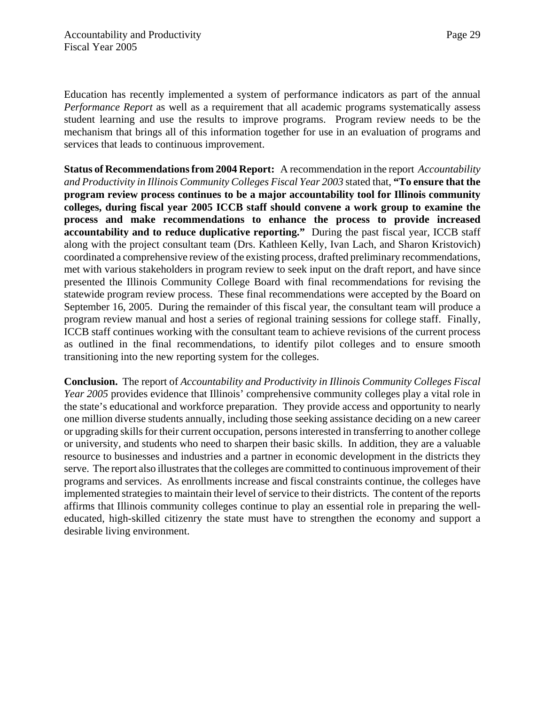Education has recently implemented a system of performance indicators as part of the annual *Performance Report* as well as a requirement that all academic programs systematically assess student learning and use the results to improve programs. Program review needs to be the mechanism that brings all of this information together for use in an evaluation of programs and services that leads to continuous improvement.

**Status of Recommendations from 2004 Report:** A recommendation in the report *Accountability and Productivity in Illinois Community Colleges Fiscal Year 2003* stated that, **"To ensure that the program review process continues to be a major accountability tool for Illinois community colleges, during fiscal year 2005 ICCB staff should convene a work group to examine the process and make recommendations to enhance the process to provide increased accountability and to reduce duplicative reporting."** During the past fiscal year, ICCB staff along with the project consultant team (Drs. Kathleen Kelly, Ivan Lach, and Sharon Kristovich) coordinated a comprehensive review of the existing process, drafted preliminary recommendations, met with various stakeholders in program review to seek input on the draft report, and have since presented the Illinois Community College Board with final recommendations for revising the statewide program review process. These final recommendations were accepted by the Board on September 16, 2005. During the remainder of this fiscal year, the consultant team will produce a program review manual and host a series of regional training sessions for college staff. Finally, ICCB staff continues working with the consultant team to achieve revisions of the current process as outlined in the final recommendations, to identify pilot colleges and to ensure smooth transitioning into the new reporting system for the colleges.

**Conclusion.** The report of *Accountability and Productivity in Illinois Community Colleges Fiscal Year 2005* provides evidence that Illinois' comprehensive community colleges play a vital role in the state's educational and workforce preparation. They provide access and opportunity to nearly one million diverse students annually, including those seeking assistance deciding on a new career or upgrading skills for their current occupation, persons interested in transferring to another college or university, and students who need to sharpen their basic skills. In addition, they are a valuable resource to businesses and industries and a partner in economic development in the districts they serve. The report also illustrates that the colleges are committed to continuous improvement of their programs and services. As enrollments increase and fiscal constraints continue, the colleges have implemented strategies to maintain their level of service to their districts. The content of the reports affirms that Illinois community colleges continue to play an essential role in preparing the welleducated, high-skilled citizenry the state must have to strengthen the economy and support a desirable living environment.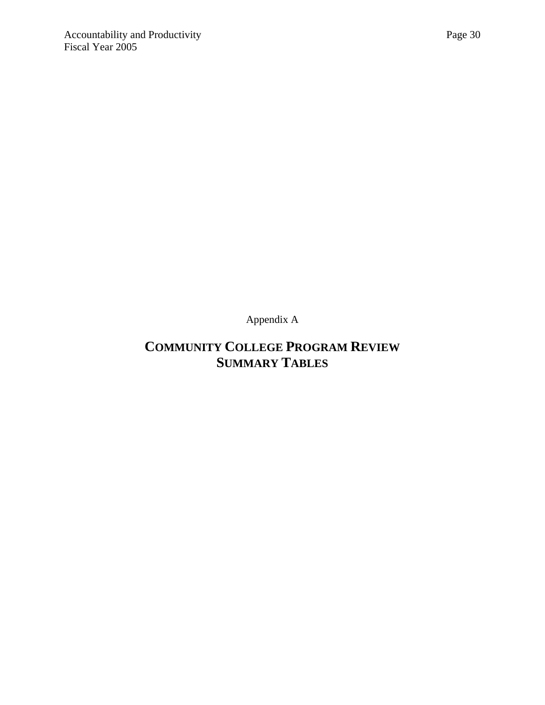Appendix A

## **COMMUNITY COLLEGE PROGRAM REVIEW SUMMARY TABLES**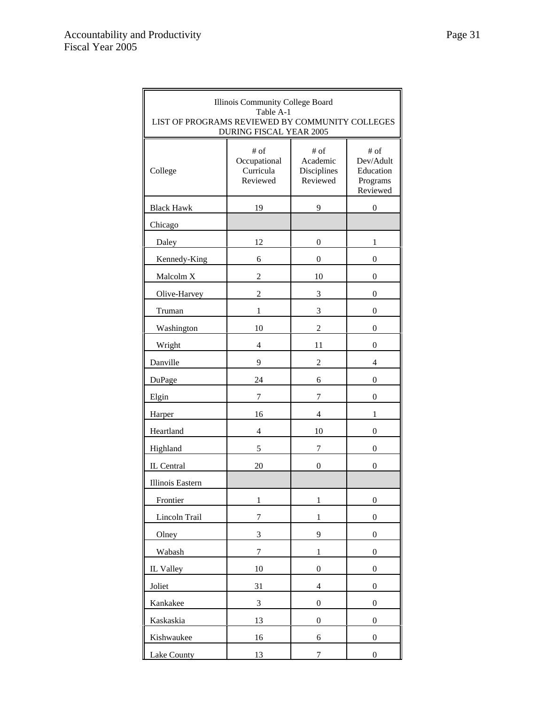| Illinois Community College Board<br>Table A-1<br>LIST OF PROGRAMS REVIEWED BY COMMUNITY COLLEGES<br><b>DURING FISCAL YEAR 2005</b> |                                                 |                                               |                                                          |
|------------------------------------------------------------------------------------------------------------------------------------|-------------------------------------------------|-----------------------------------------------|----------------------------------------------------------|
| College                                                                                                                            | $#$ of<br>Occupational<br>Curricula<br>Reviewed | $#$ of<br>Academic<br>Disciplines<br>Reviewed | $#$ of<br>Dev/Adult<br>Education<br>Programs<br>Reviewed |
| <b>Black Hawk</b>                                                                                                                  | 19                                              | 9                                             | $\boldsymbol{0}$                                         |
| Chicago                                                                                                                            |                                                 |                                               |                                                          |
| Daley                                                                                                                              | 12                                              | $\boldsymbol{0}$                              | 1                                                        |
| Kennedy-King                                                                                                                       | 6                                               | $\boldsymbol{0}$                              | 0                                                        |
| Malcolm X                                                                                                                          | $\overline{c}$                                  | 10                                            | 0                                                        |
| Olive-Harvey                                                                                                                       | $\overline{c}$                                  | 3                                             | 0                                                        |
| Truman                                                                                                                             | 1                                               | 3                                             | 0                                                        |
| Washington                                                                                                                         | 10                                              | $\overline{c}$                                | 0                                                        |
| Wright                                                                                                                             | $\overline{4}$                                  | 11                                            | 0                                                        |
| Danville                                                                                                                           | 9                                               | 2                                             | 4                                                        |
| DuPage                                                                                                                             | 24                                              | 6                                             | 0                                                        |
| Elgin                                                                                                                              | 7                                               | 7                                             | 0                                                        |
| Harper                                                                                                                             | 16                                              | 4                                             | 1                                                        |
| Heartland                                                                                                                          | $\overline{4}$                                  | 10                                            | $\boldsymbol{0}$                                         |
| Highland                                                                                                                           | 5                                               | 7                                             | 0                                                        |
| IL Central                                                                                                                         | 20                                              | 0                                             | 0                                                        |
| Illinois Eastern                                                                                                                   |                                                 |                                               |                                                          |
| Frontier                                                                                                                           | $\mathbf{1}$                                    | $\mathbf{1}$                                  | $\boldsymbol{0}$                                         |
| Lincoln Trail                                                                                                                      | $\boldsymbol{7}$                                | $\,1$                                         | $\boldsymbol{0}$                                         |
| Olney                                                                                                                              | 3                                               | 9                                             | $\boldsymbol{0}$                                         |
| Wabash                                                                                                                             | $\boldsymbol{7}$                                | $\mathbf{1}$                                  | $\boldsymbol{0}$                                         |
| IL Valley                                                                                                                          | 10                                              | $\boldsymbol{0}$                              | $\boldsymbol{0}$                                         |
| Joliet                                                                                                                             | 31                                              | $\overline{4}$                                | $\boldsymbol{0}$                                         |
| Kankakee                                                                                                                           | $\mathfrak{Z}$                                  | $\boldsymbol{0}$                              | $\boldsymbol{0}$                                         |
| Kaskaskia                                                                                                                          | 13                                              | $\boldsymbol{0}$                              | $\boldsymbol{0}$                                         |
| Kishwaukee                                                                                                                         | 16                                              | 6                                             | $\boldsymbol{0}$                                         |
| Lake County                                                                                                                        | 13                                              | 7                                             | $\boldsymbol{0}$                                         |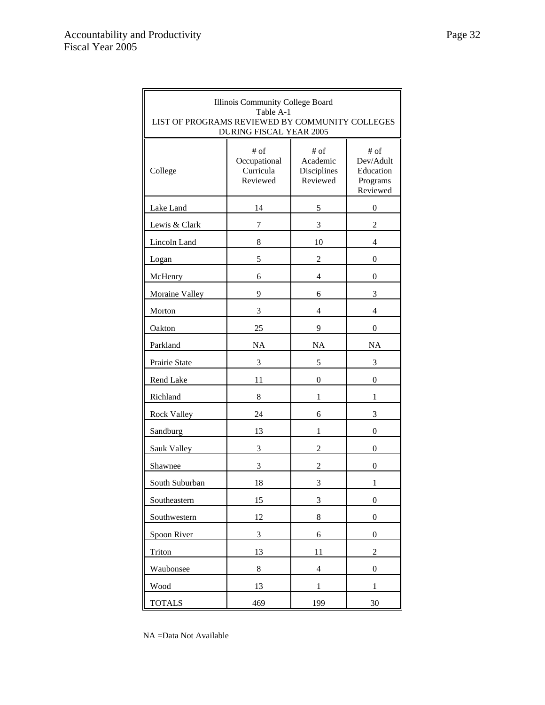| Illinois Community College Board<br>Table A-1<br>LIST OF PROGRAMS REVIEWED BY COMMUNITY COLLEGES<br><b>DURING FISCAL YEAR 2005</b> |                                                 |                                               |                                                        |
|------------------------------------------------------------------------------------------------------------------------------------|-------------------------------------------------|-----------------------------------------------|--------------------------------------------------------|
| College                                                                                                                            | $#$ of<br>Occupational<br>Curricula<br>Reviewed | $#$ of<br>Academic<br>Disciplines<br>Reviewed | # of<br>Dev/Adult<br>Education<br>Programs<br>Reviewed |
| Lake Land                                                                                                                          | 14                                              | 5                                             | $\boldsymbol{0}$                                       |
| Lewis & Clark                                                                                                                      | 7                                               | 3                                             | 2                                                      |
| Lincoln Land                                                                                                                       | 8                                               | 10                                            | 4                                                      |
| Logan                                                                                                                              | 5                                               | 2                                             | 0                                                      |
| McHenry                                                                                                                            | 6                                               | 4                                             | 0                                                      |
| Moraine Valley                                                                                                                     | 9                                               | 6                                             | 3                                                      |
| Morton                                                                                                                             | 3                                               | 4                                             | 4                                                      |
| Oakton                                                                                                                             | 25                                              | 9                                             | 0                                                      |
| Parkland                                                                                                                           | NA                                              | <b>NA</b>                                     | <b>NA</b>                                              |
| Prairie State                                                                                                                      | 3                                               | 5                                             | 3                                                      |
| Rend Lake                                                                                                                          | 11                                              | $\overline{0}$                                | $\mathbf{0}$                                           |
| Richland                                                                                                                           | 8                                               | 1                                             | 1                                                      |
| Rock Valley                                                                                                                        | 24                                              | 6                                             | 3                                                      |
| Sandburg                                                                                                                           | 13                                              | 1                                             | 0                                                      |
| Sauk Valley                                                                                                                        | 3                                               | $\overline{c}$                                | 0                                                      |
| Shawnee                                                                                                                            | 3                                               | $\overline{c}$                                | 0                                                      |
| South Suburban                                                                                                                     | 18                                              | 3                                             | 1                                                      |
| Southeastern                                                                                                                       | 15                                              | 3                                             | $\boldsymbol{0}$                                       |
| Southwestern                                                                                                                       | 12                                              | $8\,$                                         | $\boldsymbol{0}$                                       |
| Spoon River                                                                                                                        | $\mathfrak{Z}$                                  | 6                                             | $\boldsymbol{0}$                                       |
| Triton                                                                                                                             | 13                                              | 11                                            | $\overline{c}$                                         |
| Waubonsee                                                                                                                          | $8\,$                                           | $\overline{\mathbf{4}}$                       | $\boldsymbol{0}$                                       |
| Wood                                                                                                                               | 13                                              | $\mathbf{1}$                                  | $\mathbf{1}$                                           |
| <b>TOTALS</b>                                                                                                                      | 469                                             | 199                                           | 30                                                     |

NA =Data Not Available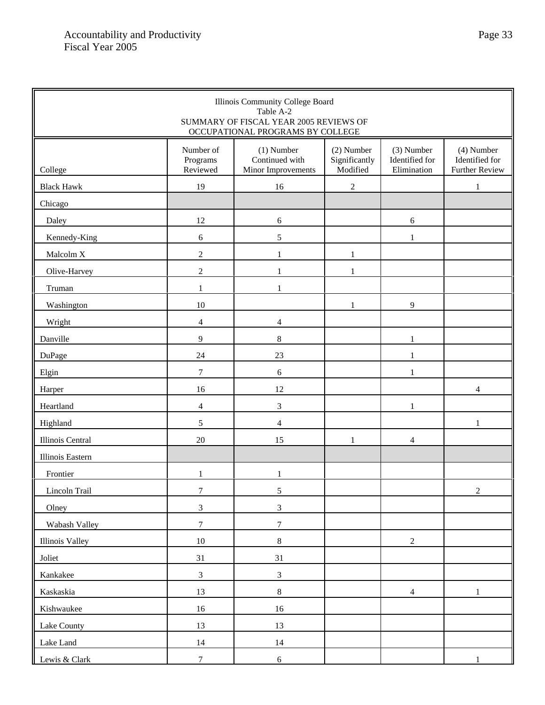| Illinois Community College Board<br>Table A-2<br>SUMMARY OF FISCAL YEAR 2005 REVIEWS OF<br>OCCUPATIONAL PROGRAMS BY COLLEGE |                                   |                                                      |                                         |                                             |                                                         |
|-----------------------------------------------------------------------------------------------------------------------------|-----------------------------------|------------------------------------------------------|-----------------------------------------|---------------------------------------------|---------------------------------------------------------|
| College                                                                                                                     | Number of<br>Programs<br>Reviewed | $(1)$ Number<br>Continued with<br>Minor Improvements | (2) Number<br>Significantly<br>Modified | (3) Number<br>Identified for<br>Elimination | $(4)$ Number<br>Identified for<br><b>Further Review</b> |
| <b>Black Hawk</b>                                                                                                           | 19                                | 16                                                   | $\overline{2}$                          |                                             | 1                                                       |
| Chicago                                                                                                                     |                                   |                                                      |                                         |                                             |                                                         |
| Daley                                                                                                                       | 12                                | $\epsilon$                                           |                                         | 6                                           |                                                         |
| Kennedy-King                                                                                                                | 6                                 | $\sqrt{5}$                                           |                                         | 1                                           |                                                         |
| Malcolm X                                                                                                                   | $\overline{c}$                    | $\mathbf{1}$                                         | 1                                       |                                             |                                                         |
| Olive-Harvey                                                                                                                | $\overline{2}$                    | 1                                                    | $\mathbf{1}$                            |                                             |                                                         |
| Truman                                                                                                                      | 1                                 | 1                                                    |                                         |                                             |                                                         |
| Washington                                                                                                                  | 10                                |                                                      | $\mathbf{1}$                            | 9                                           |                                                         |
| Wright                                                                                                                      | $\overline{\mathcal{A}}$          | 4                                                    |                                         |                                             |                                                         |
| Danville                                                                                                                    | $\mathbf{9}$                      | $8\,$                                                |                                         | $\mathbf{1}$                                |                                                         |
| DuPage                                                                                                                      | $24\,$                            | $23\,$                                               |                                         | $\mathbf{1}$                                |                                                         |
| Elgin                                                                                                                       | $\boldsymbol{7}$                  | 6                                                    |                                         | $\mathbf{1}$                                |                                                         |
| Harper                                                                                                                      | 16                                | 12                                                   |                                         |                                             | 4                                                       |
| Heartland                                                                                                                   | 4                                 | $\ensuremath{\mathfrak{Z}}$                          |                                         | $\mathbf{1}$                                |                                                         |
| Highland                                                                                                                    | 5                                 | $\overline{\mathbf{4}}$                              |                                         |                                             | 1                                                       |
| Illinois Central                                                                                                            | 20                                | 15                                                   | $\mathbf{1}$                            | $\overline{4}$                              |                                                         |
| Illinois Eastern                                                                                                            |                                   |                                                      |                                         |                                             |                                                         |
| Frontier                                                                                                                    | 1                                 | 1                                                    |                                         |                                             |                                                         |
| Lincoln Trail                                                                                                               | $\boldsymbol{7}$                  | 5                                                    |                                         |                                             | $\sqrt{2}$                                              |
| Olney                                                                                                                       | 3                                 | 3                                                    |                                         |                                             |                                                         |
| Wabash Valley                                                                                                               | $\boldsymbol{7}$                  | $\boldsymbol{7}$                                     |                                         |                                             |                                                         |
| Illinois Valley                                                                                                             | $10\,$                            | $\,8\,$                                              |                                         | $\overline{2}$                              |                                                         |
| Joliet                                                                                                                      | $31\,$                            | 31                                                   |                                         |                                             |                                                         |
| Kankakee                                                                                                                    | $\overline{3}$                    | 3                                                    |                                         |                                             |                                                         |
| Kaskaskia                                                                                                                   | 13                                | $\,8\,$                                              |                                         | $\overline{4}$                              | $\mathbf{1}$                                            |
| Kishwaukee                                                                                                                  | $16\,$                            | 16                                                   |                                         |                                             |                                                         |
| Lake County                                                                                                                 | $13\,$                            | 13                                                   |                                         |                                             |                                                         |
| Lake Land                                                                                                                   | $14\,$                            | $14\,$                                               |                                         |                                             |                                                         |
| Lewis & Clark                                                                                                               | $7\phantom{.0}$                   | $6\phantom{.}6$                                      |                                         |                                             | 1                                                       |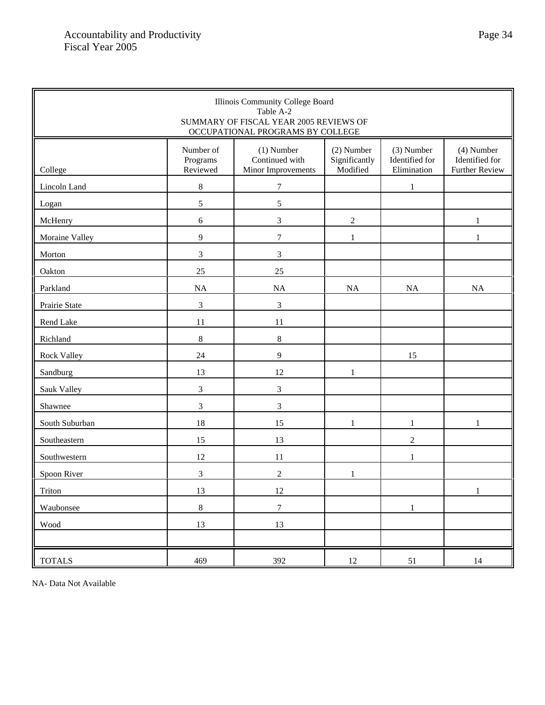| Illinois Community College Board<br>Table A-2<br>SUMMARY OF FISCAL YEAR 2005 REVIEWS OF<br>OCCUPATIONAL PROGRAMS BY COLLEGE |                                   |                                                      |                                         |                                             |                                                       |
|-----------------------------------------------------------------------------------------------------------------------------|-----------------------------------|------------------------------------------------------|-----------------------------------------|---------------------------------------------|-------------------------------------------------------|
| College                                                                                                                     | Number of<br>Programs<br>Reviewed | $(1)$ Number<br>Continued with<br>Minor Improvements | (2) Number<br>Significantly<br>Modified | (3) Number<br>Identified for<br>Elimination | (4) Number<br>Identified for<br><b>Further Review</b> |
| Lincoln Land                                                                                                                | $8\,$                             | $\boldsymbol{7}$                                     |                                         | $\mathbf{1}$                                |                                                       |
| Logan                                                                                                                       | 5                                 | $\sqrt{5}$                                           |                                         |                                             |                                                       |
| McHenry                                                                                                                     | 6                                 | 3                                                    | $\boldsymbol{2}$                        |                                             | 1                                                     |
| Moraine Valley                                                                                                              | 9                                 | $\boldsymbol{7}$                                     | $\mathbf{1}$                            |                                             | $\mathbf{1}$                                          |
| Morton                                                                                                                      | 3                                 | $\mathfrak{Z}$                                       |                                         |                                             |                                                       |
| Oakton                                                                                                                      | 25                                | 25                                                   |                                         |                                             |                                                       |
| Parkland                                                                                                                    | <b>NA</b>                         | <b>NA</b>                                            | <b>NA</b>                               | <b>NA</b>                                   | $\rm NA$                                              |
| Prairie State                                                                                                               | $\mathfrak{Z}$                    | $\mathfrak{Z}$                                       |                                         |                                             |                                                       |
| Rend Lake                                                                                                                   | 11                                | 11                                                   |                                         |                                             |                                                       |
| Richland                                                                                                                    | $8\,$                             | $\,8\,$                                              |                                         |                                             |                                                       |
| Rock Valley                                                                                                                 | 24                                | $\overline{9}$                                       |                                         | 15                                          |                                                       |
| Sandburg                                                                                                                    | 13                                | 12                                                   | $\mathbf{1}$                            |                                             |                                                       |
| Sauk Valley                                                                                                                 | 3                                 | $\mathfrak 3$                                        |                                         |                                             |                                                       |
| Shawnee                                                                                                                     | 3                                 | $\ensuremath{\mathfrak{Z}}$                          |                                         |                                             |                                                       |
| South Suburban                                                                                                              | 18                                | 15                                                   | $\mathbf{1}$                            | $\mathbf{1}$                                | 1                                                     |
| Southeastern                                                                                                                | 15                                | 13                                                   |                                         | $\overline{c}$                              |                                                       |
| Southwestern                                                                                                                | 12                                | 11                                                   |                                         | $\mathbf{1}$                                |                                                       |
| Spoon River                                                                                                                 | 3                                 | $\boldsymbol{2}$                                     | $\mathbf{1}$                            |                                             |                                                       |
| Triton                                                                                                                      | 13                                | 12                                                   |                                         |                                             | $\mathbf{1}$                                          |
| Waubonsee                                                                                                                   | $8\,$                             | $\boldsymbol{7}$                                     |                                         | $\mathbf{1}$                                |                                                       |
| Wood                                                                                                                        | 13                                | 13                                                   |                                         |                                             |                                                       |
|                                                                                                                             |                                   |                                                      |                                         |                                             |                                                       |
| <b>TOTALS</b>                                                                                                               | 469                               | 392                                                  | 12                                      | 51                                          | 14                                                    |

NA- Data Not Available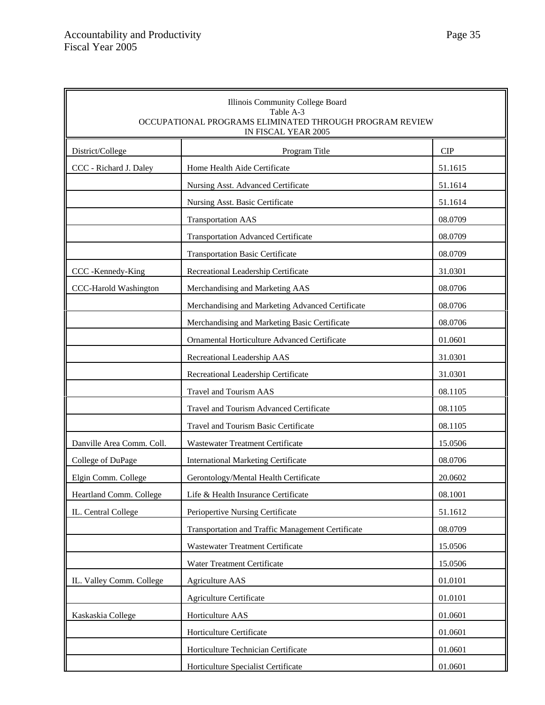| Illinois Community College Board<br>Table A-3<br>OCCUPATIONAL PROGRAMS ELIMINATED THROUGH PROGRAM REVIEW<br>IN FISCAL YEAR 2005 |                                                   |         |  |
|---------------------------------------------------------------------------------------------------------------------------------|---------------------------------------------------|---------|--|
| District/College                                                                                                                | Program Title                                     | CIP     |  |
| CCC - Richard J. Daley                                                                                                          | Home Health Aide Certificate                      | 51.1615 |  |
|                                                                                                                                 | Nursing Asst. Advanced Certificate                | 51.1614 |  |
|                                                                                                                                 | Nursing Asst. Basic Certificate                   | 51.1614 |  |
|                                                                                                                                 | <b>Transportation AAS</b>                         | 08.0709 |  |
|                                                                                                                                 | <b>Transportation Advanced Certificate</b>        | 08.0709 |  |
|                                                                                                                                 | <b>Transportation Basic Certificate</b>           | 08.0709 |  |
| CCC - Kennedy-King                                                                                                              | Recreational Leadership Certificate               | 31.0301 |  |
| CCC-Harold Washington                                                                                                           | Merchandising and Marketing AAS                   | 08.0706 |  |
|                                                                                                                                 | Merchandising and Marketing Advanced Certificate  | 08.0706 |  |
|                                                                                                                                 | Merchandising and Marketing Basic Certificate     | 08.0706 |  |
|                                                                                                                                 | Ornamental Horticulture Advanced Certificate      | 01.0601 |  |
|                                                                                                                                 | Recreational Leadership AAS                       | 31.0301 |  |
|                                                                                                                                 | Recreational Leadership Certificate               | 31.0301 |  |
|                                                                                                                                 | Travel and Tourism AAS                            | 08.1105 |  |
|                                                                                                                                 | Travel and Tourism Advanced Certificate           | 08.1105 |  |
|                                                                                                                                 | Travel and Tourism Basic Certificate              | 08.1105 |  |
| Danville Area Comm. Coll.                                                                                                       | Wastewater Treatment Certificate                  | 15.0506 |  |
| College of DuPage                                                                                                               | <b>International Marketing Certificate</b>        | 08.0706 |  |
| Elgin Comm. College                                                                                                             | Gerontology/Mental Health Certificate             | 20.0602 |  |
| Heartland Comm. College                                                                                                         | Life & Health Insurance Certificate               | 08.1001 |  |
| IL. Central College                                                                                                             | Periopertive Nursing Certificate                  | 51.1612 |  |
|                                                                                                                                 | Transportation and Traffic Management Certificate | 08.0709 |  |
|                                                                                                                                 | Wastewater Treatment Certificate                  | 15.0506 |  |
|                                                                                                                                 | Water Treatment Certificate                       | 15.0506 |  |
| IL. Valley Comm. College                                                                                                        | <b>Agriculture AAS</b>                            | 01.0101 |  |
|                                                                                                                                 | <b>Agriculture Certificate</b>                    | 01.0101 |  |
| Kaskaskia College                                                                                                               | Horticulture AAS                                  | 01.0601 |  |
|                                                                                                                                 | Horticulture Certificate                          | 01.0601 |  |
|                                                                                                                                 | Horticulture Technician Certificate               | 01.0601 |  |
|                                                                                                                                 | Horticulture Specialist Certificate               | 01.0601 |  |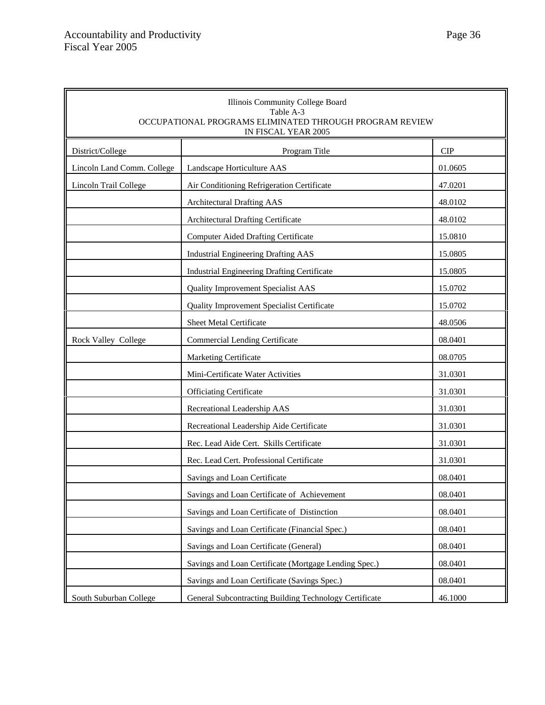| Illinois Community College Board<br>Table A-3<br>OCCUPATIONAL PROGRAMS ELIMINATED THROUGH PROGRAM REVIEW<br>IN FISCAL YEAR 2005 |                                                               |         |  |
|---------------------------------------------------------------------------------------------------------------------------------|---------------------------------------------------------------|---------|--|
| District/College                                                                                                                | Program Title                                                 | CIP     |  |
| Lincoln Land Comm. College                                                                                                      | Landscape Horticulture AAS                                    | 01.0605 |  |
| Lincoln Trail College                                                                                                           | Air Conditioning Refrigeration Certificate                    | 47.0201 |  |
|                                                                                                                                 | <b>Architectural Drafting AAS</b>                             | 48.0102 |  |
|                                                                                                                                 | Architectural Drafting Certificate                            | 48.0102 |  |
|                                                                                                                                 | <b>Computer Aided Drafting Certificate</b>                    | 15.0810 |  |
|                                                                                                                                 | <b>Industrial Engineering Drafting AAS</b>                    | 15.0805 |  |
|                                                                                                                                 | <b>Industrial Engineering Drafting Certificate</b>            | 15.0805 |  |
|                                                                                                                                 | <b>Quality Improvement Specialist AAS</b>                     | 15.0702 |  |
|                                                                                                                                 | Quality Improvement Specialist Certificate                    | 15.0702 |  |
|                                                                                                                                 | <b>Sheet Metal Certificate</b>                                | 48.0506 |  |
| Rock Valley College                                                                                                             | <b>Commercial Lending Certificate</b>                         | 08.0401 |  |
|                                                                                                                                 | Marketing Certificate                                         | 08.0705 |  |
|                                                                                                                                 | Mini-Certificate Water Activities                             | 31.0301 |  |
|                                                                                                                                 | <b>Officiating Certificate</b>                                | 31.0301 |  |
|                                                                                                                                 | Recreational Leadership AAS                                   | 31.0301 |  |
|                                                                                                                                 | Recreational Leadership Aide Certificate                      | 31.0301 |  |
|                                                                                                                                 | Rec. Lead Aide Cert. Skills Certificate                       | 31.0301 |  |
|                                                                                                                                 | Rec. Lead Cert. Professional Certificate                      | 31.0301 |  |
|                                                                                                                                 | Savings and Loan Certificate                                  | 08.0401 |  |
|                                                                                                                                 | Savings and Loan Certificate of Achievement                   | 08.0401 |  |
|                                                                                                                                 | Savings and Loan Certificate of Distinction                   | 08.0401 |  |
|                                                                                                                                 | Savings and Loan Certificate (Financial Spec.)                | 08.0401 |  |
|                                                                                                                                 | Savings and Loan Certificate (General)                        | 08.0401 |  |
|                                                                                                                                 | Savings and Loan Certificate (Mortgage Lending Spec.)         | 08.0401 |  |
|                                                                                                                                 | Savings and Loan Certificate (Savings Spec.)                  | 08.0401 |  |
| South Suburban College                                                                                                          | <b>General Subcontracting Building Technology Certificate</b> | 46.1000 |  |